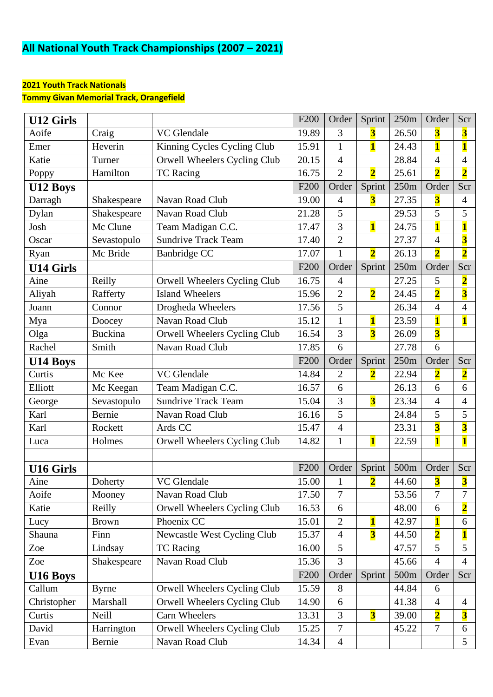# **All National Youth Track Championships (2007 – 2021)**

#### **2021 Youth Track Nationals**

**Tommy Givan Memorial Track, Orangefield**

| <b>U12 Girls</b> |                |                                                                              | F <sub>200</sub> | Order          | Sprint                  | 250m             | Order                   | Scr                     |
|------------------|----------------|------------------------------------------------------------------------------|------------------|----------------|-------------------------|------------------|-------------------------|-------------------------|
| Aoife            | Craig          | VC Glendale                                                                  | 19.89            | 3              | 3                       | 26.50            | $\overline{\mathbf{3}}$ | $\overline{\mathbf{3}}$ |
| Emer             | Heverin        | Kinning Cycles Cycling Club                                                  | 15.91            | $\mathbf{1}$   | $\mathbf{1}$            | 24.43            | $\overline{\mathbf{1}}$ | $\mathbf{1}$            |
| Katie            | Turner         | Orwell Wheelers Cycling Club                                                 | 20.15            | $\overline{4}$ |                         | 28.84            | $\overline{4}$          | 4                       |
| Poppy            | Hamilton       | <b>TC</b> Racing                                                             | 16.75            | $\overline{2}$ | $\overline{\mathbf{2}}$ | 25.61            | $\overline{\mathbf{2}}$ | $\overline{\mathbf{2}}$ |
| U12 Boys         |                |                                                                              | F <sub>200</sub> | Order          | Sprint                  | 250m             | Order                   | Scr                     |
| Darragh          | Shakespeare    | Navan Road Club                                                              | 19.00            | $\overline{4}$ | $\overline{\mathbf{3}}$ | 27.35            | $\overline{\mathbf{3}}$ | $\overline{4}$          |
| Dylan            | Shakespeare    | Navan Road Club                                                              | 21.28            | 5              |                         | 29.53            | $\overline{5}$          | 5                       |
| Josh             | Mc Clune       | Team Madigan C.C.                                                            | 17.47            | 3              | $\mathbf{1}$            | 24.75            | $\overline{\mathbf{1}}$ | 1                       |
| Oscar            | Sevastopulo    | <b>Sundrive Track Team</b>                                                   | 17.40            | $\overline{2}$ |                         | 27.37            | $\overline{4}$          | $\overline{\mathbf{3}}$ |
| Ryan             | Mc Bride       | <b>Banbridge CC</b>                                                          | 17.07            | $\mathbf{1}$   | $\overline{\mathbf{2}}$ | 26.13            | $\overline{\mathbf{2}}$ | $\overline{\mathbf{2}}$ |
| <b>U14 Girls</b> |                |                                                                              | F <sub>200</sub> | Order          | Sprint                  | 250m             | Order                   | Scr                     |
| Aine             | Reilly         | Orwell Wheelers Cycling Club                                                 | 16.75            | $\overline{4}$ |                         | 27.25            | 5                       | $\overline{\mathbf{2}}$ |
| Aliyah           | Rafferty       | <b>Island Wheelers</b>                                                       | 15.96            | $\overline{2}$ | $\overline{\mathbf{2}}$ | 24.45            | $\overline{\mathbf{2}}$ | $\overline{\mathbf{3}}$ |
| Joann            | Connor         | Drogheda Wheelers                                                            | 17.56            | 5              |                         | 26.34            | $\overline{4}$          | $\overline{4}$          |
| Mya              | Doocey         | Navan Road Club                                                              | 15.12            | $\mathbf{1}$   | $\mathbf{1}$            | 23.59            | $\mathbf{1}$            | $\overline{\mathbf{1}}$ |
| Olga             | <b>Buckina</b> | Orwell Wheelers Cycling Club                                                 | 16.54            | 3              | $\overline{\mathbf{3}}$ | 26.09            | $\overline{\mathbf{3}}$ |                         |
| Rachel           | Smith          | Navan Road Club                                                              | 17.85            | 6              |                         | 27.78            | 6                       |                         |
| U14 Boys         |                |                                                                              | F <sub>200</sub> | Order          | Sprint                  | 250m             | Order                   | Scr                     |
| Curtis           | Mc Kee         | VC Glendale                                                                  | 14.84            | $\overline{2}$ | $\overline{\mathbf{2}}$ | 22.94            | $\overline{\mathbf{2}}$ | $\overline{\mathbf{2}}$ |
| Elliott          | Mc Keegan      | Team Madigan C.C.                                                            | 16.57            | 6              |                         | 26.13            | 6                       | 6                       |
| George           | Sevastopulo    | 3<br>$\overline{\mathbf{3}}$<br><b>Sundrive Track Team</b><br>23.34<br>15.04 |                  | $\overline{4}$ | $\overline{4}$          |                  |                         |                         |
| Karl             | Bernie         | Navan Road Club                                                              | 16.16            | 5              |                         | 24.84            | 5                       | 5                       |
| Karl             | Rockett        | Ards CC                                                                      | 15.47            | $\overline{4}$ |                         | 23.31            | $\overline{\mathbf{3}}$ | $\overline{\mathbf{3}}$ |
| Luca             | Holmes         | Orwell Wheelers Cycling Club                                                 | 14.82            | $\mathbf{1}$   | $\mathbf{1}$            | 22.59            | $\mathbf{1}$            | $\overline{\mathbf{1}}$ |
|                  |                |                                                                              |                  |                |                         |                  |                         |                         |
| <b>U16 Girls</b> |                |                                                                              | F <sub>200</sub> | Order          | Sprint                  | 500m             | Order                   | Scr                     |
| Aine             | Doherty        | VC Glendale                                                                  | 15.00            |                | $\overline{2}$          | 44.60            | $\overline{\mathbf{3}}$ | 3                       |
| Aoife            | Mooney         | Navan Road Club                                                              | 17.50            | $\overline{7}$ |                         | 53.56            | $\overline{7}$          | $\overline{7}$          |
| Katie            | Reilly         | Orwell Wheelers Cycling Club                                                 | 16.53            | 6              |                         | 48.00            | 6                       | $\overline{\mathbf{2}}$ |
| Lucy             | <b>Brown</b>   | Phoenix CC                                                                   | 15.01            | $\overline{2}$ | $\mathbf{1}$            | 42.97            | $\mathbf{1}$            | 6                       |
| Shauna           | Finn           | Newcastle West Cycling Club                                                  | 15.37            | $\overline{4}$ | $\overline{\mathbf{3}}$ | 44.50            | $\overline{\mathbf{2}}$ | 1                       |
| Zoe              | Lindsay        | <b>TC Racing</b>                                                             | 16.00            | 5              |                         | 47.57            | 5                       | 5                       |
| Zoe              | Shakespeare    | Navan Road Club                                                              | 15.36            | 3              |                         | 45.66            | $\overline{4}$          | $\overline{4}$          |
| U16 Boys         |                |                                                                              | F <sub>200</sub> | Order          | Sprint                  | 500 <sub>m</sub> | Order                   | Scr                     |
| Callum           | <b>Byrne</b>   | Orwell Wheelers Cycling Club                                                 | 15.59            | 8              |                         | 44.84            | 6                       |                         |
| Christopher      | Marshall       | Orwell Wheelers Cycling Club                                                 | 14.90            | 6              |                         | 41.38            | $\overline{4}$          | $\overline{4}$          |
| Curtis           | Neill          | Carn Wheelers                                                                | 13.31            | 3              | $\overline{\mathbf{3}}$ | 39.00            | $\overline{\mathbf{2}}$ | $\overline{\mathbf{3}}$ |
| David            | Harrington     | Orwell Wheelers Cycling Club                                                 | 15.25            | $\overline{7}$ |                         | 45.22            | $\overline{7}$          | 6                       |
| Evan             | Bernie         | Navan Road Club                                                              | 14.34            | $\overline{4}$ |                         |                  |                         | 5 <sup>5</sup>          |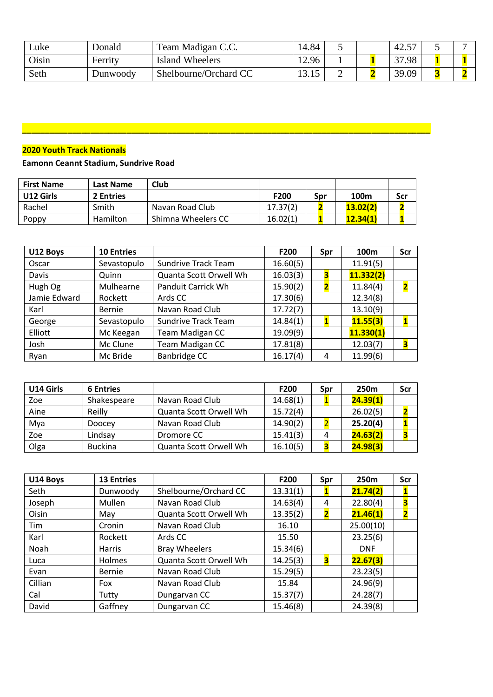| ∟uke         | Donald   | Team Madigan C.C.     | 14.84                      |   | $\epsilon$ –<br>$-42.$ | ັ |  |
|--------------|----------|-----------------------|----------------------------|---|------------------------|---|--|
| <b>Oisin</b> | Ferrity  | Island Wheelers       | 12.96                      |   | 27<br>.98              |   |  |
| Seth         | Dunwoody | Shelbourne/Orchard CC | $1^{\circ}$<br>15<br>10.10 | ∽ | 39.09                  |   |  |

## **2020 Youth Track Nationals**

#### **Eamonn Ceannt Stadium, Sundrive Road**

| <b>First Name</b> | Last Name       | Club               |          |     |          |     |
|-------------------|-----------------|--------------------|----------|-----|----------|-----|
| U12 Girls         | 2 Entries       |                    | F200     | Spr | 100m     | Scr |
| Rachel            | Smith           | Navan Road Club    | 17.37(2) |     | 13.02(2) |     |
| Poppy             | <b>Hamilton</b> | Shimna Wheelers CC | 16.02(1) |     | 12.34(1) |     |

**\_\_\_\_\_\_\_\_\_\_\_\_\_\_\_\_\_\_\_\_\_\_\_\_\_\_\_\_\_\_\_\_\_\_\_\_\_\_\_\_\_\_\_\_\_\_\_\_\_\_\_\_\_\_\_\_\_\_\_\_\_\_\_\_\_\_\_\_\_\_\_\_\_\_\_\_\_\_\_\_\_\_\_\_\_\_\_\_\_\_**

| U12 Boys     | <b>10 Entries</b> |                            | F200     | Spr | 100 <sub>m</sub> | Scr |
|--------------|-------------------|----------------------------|----------|-----|------------------|-----|
| Oscar        | Sevastopulo       | <b>Sundrive Track Team</b> | 16.60(5) |     | 11.91(5)         |     |
| Davis        | Quinn             | Quanta Scott Orwell Wh     | 16.03(3) | 3   | 11.332(2)        |     |
| Hugh Og      | Mulhearne         | Panduit Carrick Wh         | 15.90(2) |     | 11.84(4)         | 2   |
| Jamie Edward | Rockett           | Ards CC                    | 17.30(6) |     | 12.34(8)         |     |
| Karl         | <b>Bernie</b>     | Navan Road Club            | 17.72(7) |     | 13.10(9)         |     |
| George       | Sevastopulo       | <b>Sundrive Track Team</b> | 14.84(1) |     | 11.55(3)         |     |
| Elliott      | Mc Keegan         | Team Madigan CC            | 19.09(9) |     | 11.330(1)        |     |
| Josh         | Mc Clune          | Team Madigan CC            | 17.81(8) |     | 12.03(7)         | З   |
| Ryan         | Mc Bride          | <b>Banbridge CC</b>        | 16.17(4) | 4   | 11.99(6)         |     |

| U14 Girls | <b>6 Entries</b> |                        | F200     | Spr | 250 <sub>m</sub> | Scr |
|-----------|------------------|------------------------|----------|-----|------------------|-----|
| Zoe       | Shakespeare      | Navan Road Club        | 14.68(1) |     | 24.39(1)         |     |
| Aine      | Reilly           | Quanta Scott Orwell Wh | 15.72(4) |     | 26.02(5)         |     |
| Mya       | Doocey           | Navan Road Club        | 14.90(2) |     | 25.20(4)         |     |
| Zoe       | Lindsay          | Dromore CC             | 15.41(3) | 4   | 24.63(2)         |     |
| Olga      | <b>Buckina</b>   | Quanta Scott Orwell Wh | 16.10(5) |     | 24.98(3)         |     |

| U14 Boys | <b>13 Entries</b> |                        | F200     | Spr                     | 250 <sub>m</sub> | Scr                     |
|----------|-------------------|------------------------|----------|-------------------------|------------------|-------------------------|
| Seth     | Dunwoody          | Shelbourne/Orchard CC  | 13.31(1) |                         | 21.74(2)         | 1                       |
| Joseph   | Mullen            | Navan Road Club        | 14.63(4) | 4                       | 22.80(4)         | 3                       |
| Oisin    | May               | Quanta Scott Orwell Wh | 13.35(2) | $\overline{\mathbf{2}}$ | 21.46(1)         | $\overline{\mathbf{2}}$ |
| Tim      | Cronin            | Navan Road Club        | 16.10    |                         | 25.00(10)        |                         |
| Karl     | Rockett           | Ards CC                | 15.50    |                         | 23.25(6)         |                         |
| Noah     | <b>Harris</b>     | <b>Bray Wheelers</b>   | 15.34(6) |                         | <b>DNF</b>       |                         |
| Luca     | Holmes            | Quanta Scott Orwell Wh | 14.25(3) | З                       | 22.67(3)         |                         |
| Evan     | Bernie            | Navan Road Club        | 15.29(5) |                         | 23.23(5)         |                         |
| Cillian  | Fox               | Navan Road Club        | 15.84    |                         | 24.96(9)         |                         |
| Cal      | Tutty             | Dungarvan CC           | 15.37(7) |                         | 24.28(7)         |                         |
| David    | Gaffney           | Dungarvan CC           | 15.46(8) |                         | 24.39(8)         |                         |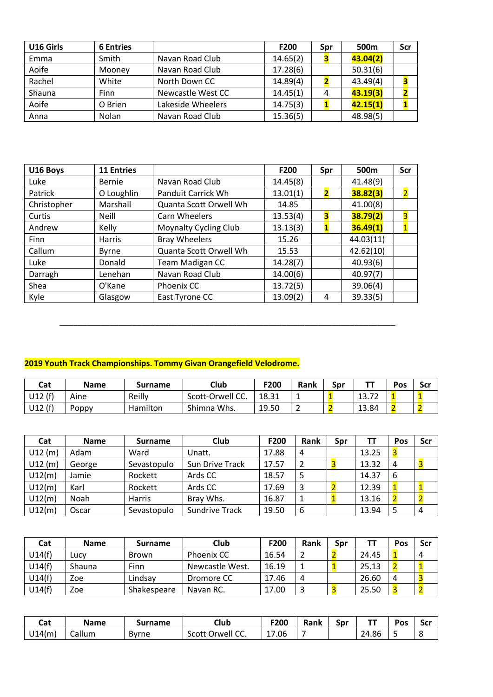| U16 Girls | <b>6 Entries</b> |                   | F200     | Spr | 500m     | Scr |
|-----------|------------------|-------------------|----------|-----|----------|-----|
| Emma      | Smith            | Navan Road Club   | 14.65(2) |     | 43.04(2) |     |
| Aoife     | Mooney           | Navan Road Club   | 17.28(6) |     | 50.31(6) |     |
| Rachel    | White            | North Down CC     | 14.89(4) |     | 43.49(4) |     |
| Shauna    | <b>Finn</b>      | Newcastle West CC | 14.45(1) | 4   | 43.19(3) |     |
| Aoife     | O Brien          | Lakeside Wheelers | 14.75(3) |     | 42.15(1) |     |
| Anna      | Nolan            | Navan Road Club   | 15.36(5) |     | 48.98(5) |     |

| U16 Boys    | <b>11 Entries</b> |                              | F200     | Spr | 500 <sub>m</sub> | <b>Scr</b>     |
|-------------|-------------------|------------------------------|----------|-----|------------------|----------------|
| Luke        | <b>Bernie</b>     | Navan Road Club              | 14.45(8) |     | 41.48(9)         |                |
| Patrick     | O Loughlin        | Panduit Carrick Wh           | 13.01(1) | 2   | 38.82(3)         | $\overline{2}$ |
| Christopher | Marshall          | Quanta Scott Orwell Wh       | 14.85    |     | 41.00(8)         |                |
| Curtis      | <b>Neill</b>      | Carn Wheelers                | 13.53(4) | 3   | 38.79(2)         | 3              |
| Andrew      | Kelly             | <b>Moynalty Cycling Club</b> | 13.13(3) |     | 36.49(1)         | $\mathbf{1}$   |
| Finn        | <b>Harris</b>     | <b>Bray Wheelers</b>         | 15.26    |     | 44.03(11)        |                |
| Callum      | <b>Byrne</b>      | Quanta Scott Orwell Wh       | 15.53    |     | 42.62(10)        |                |
| Luke        | Donald            | Team Madigan CC              | 14.28(7) |     | 40.93(6)         |                |
| Darragh     | Lenehan           | Navan Road Club              | 14.00(6) |     | 40.97(7)         |                |
| Shea        | O'Kane            | Phoenix CC                   | 13.72(5) |     | 39.06(4)         |                |
| Kyle        | Glasgow           | East Tyrone CC               | 13.09(2) | 4   | 39.33(5)         |                |

# **2019 Youth Track Championships. Tommy Givan Orangefield Velodrome.**

| Cat    | <b>Name</b> | surname  | Club             | F200  | Rank | Spr |                 | Pos | Scr |
|--------|-------------|----------|------------------|-------|------|-----|-----------------|-----|-----|
| U12(f) | Aine        | Reilly   | Scott-Orwell CC. | 18.31 |      |     | $\sim$<br>13.7L |     |     |
| U12(f) | Poppy       | Hamilton | Shimna Whs.      | 19.50 | -    |     | 13.84           | z   |     |

\_\_\_\_\_\_\_\_\_\_\_\_\_\_\_\_\_\_\_\_\_\_\_\_\_\_\_\_\_\_\_\_\_\_\_\_\_\_\_\_\_\_\_\_\_\_\_\_\_\_\_\_\_\_\_\_\_\_\_\_\_\_\_\_\_\_\_\_\_\_\_\_\_\_

| Cat    | <b>Name</b> | <b>Surname</b> | Club                  | F200  | Rank | Spr | ΤT    | Pos | Scr |
|--------|-------------|----------------|-----------------------|-------|------|-----|-------|-----|-----|
| U12(m) | Adam        | Ward           | Unatt.                | 17.88 | 4    |     | 13.25 |     |     |
| U12(m) | George      | Sevastopulo    | Sun Drive Track       | 17.57 | 2    |     | 13.32 | 4   |     |
| U12(m) | Jamie       | Rockett        | Ards CC               | 18.57 |      |     | 14.37 | 6   |     |
| U12(m) | Karl        | Rockett        | Ards CC               | 17.69 | 3    |     | 12.39 |     |     |
| U12(m) | Noah        | Harris         | Bray Whs.             | 16.87 | 1    |     | 13.16 |     |     |
| U12(m) | Oscar       | Sevastopulo    | <b>Sundrive Track</b> | 19.50 | 6    |     | 13.94 |     | 4   |

| Cat    | <b>Name</b> | <b>Surname</b> | <b>Club</b>       | F200  | Rank         | Spr |       | Pos | Scr |
|--------|-------------|----------------|-------------------|-------|--------------|-----|-------|-----|-----|
| U14(f) | LUCV        | Brown          | <b>Phoenix CC</b> | 16.54 |              |     | 24.45 |     | 4   |
| U14(f) | Shauna      | Finn           | Newcastle West.   | 16.19 |              |     | 25.13 |     |     |
| U14(f) | Zoe         | Lindsay        | Dromore CC        | 17.46 | 4            |     | 26.60 |     |     |
| U14(f) | Zoe         | Shakespeare    | Navan RC.         | 17.00 | $\mathbf{r}$ |     | 25.50 |     |     |

| Cat    | <b>Name</b>      | Surname | Club                                    | F200  | Rank | Spr | --    | Pos | Scr |
|--------|------------------|---------|-----------------------------------------|-------|------|-----|-------|-----|-----|
| U14(m) | $\sim$<br>Callum | Byrne   | $\mathbf{u}$<br>-cott-<br>Jrwell<br>JJ. | 17.06 |      |     | 24.86 |     |     |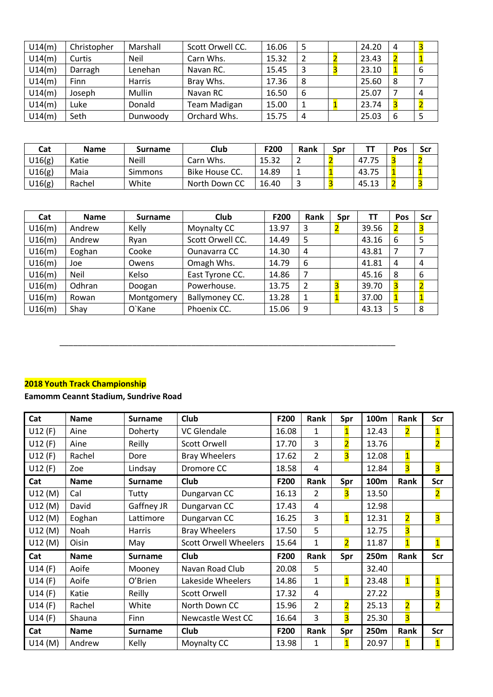| U14(m) | Christopher | Marshall    | Scott Orwell CC. | 16.06 | 5  | 24.20 | 4 |   |
|--------|-------------|-------------|------------------|-------|----|-------|---|---|
| U14(m) | Curtis      | <b>Neil</b> | Carn Whs.        | 15.32 | 2  | 23.43 |   |   |
| U14(m) | Darragh     | Lenehan     | Navan RC.        | 15.45 | -3 | 23.10 |   | 6 |
| U14(m) | <b>Finn</b> | Harris      | Bray Whs.        | 17.36 | 8  | 25.60 | 8 |   |
| U14(m) | Joseph      | Mullin      | Navan RC         | 16.50 | 6  | 25.07 |   | 4 |
| U14(m) | ∟uke        | Donald      | Team Madigan     | 15.00 |    | 23.74 |   |   |
| U14(m) | Seth        | Dunwoody    | Orchard Whs.     | 15.75 | 4  | 25.03 | 6 |   |

| Cat    | <b>Name</b> | Surname        | Club           | F200  | Rank | Sɒr |       | Pos | Scr |
|--------|-------------|----------------|----------------|-------|------|-----|-------|-----|-----|
| J16(g) | Katie       | <b>Neill</b>   | Carn Whs.      | 15.32 |      |     | 47.75 |     |     |
| U16(g) | Maia        | <b>Simmons</b> | Bike House CC. | 14.89 |      |     | 43.75 |     |     |
| U16(g) | Rachel      | White          | North Down CC  | 16.40 | ت    |     | 45.13 |     |     |

| Cat    | <b>Name</b> | <b>Surname</b> | Club             | F200  | <b>Rank</b> | Spr | TТ    | Pos | Scr                     |
|--------|-------------|----------------|------------------|-------|-------------|-----|-------|-----|-------------------------|
| U16(m) | Andrew      | Kelly          | Moynalty CC      | 13.97 | 3           |     | 39.56 |     |                         |
| U16(m) | Andrew      | Ryan           | Scott Orwell CC. | 14.49 | 5           |     | 43.16 | 6   | 5                       |
| U16(m) | Eoghan      | Cooke          | Ounavarra CC     | 14.30 | 4           |     | 43.81 |     |                         |
| U16(m) | Joe         | Owens          | Omagh Whs.       | 14.79 | 6           |     | 41.81 | 4   | 4                       |
| U16(m) | <b>Neil</b> | Kelso          | East Tyrone CC.  | 14.86 |             |     | 45.16 | 8   | 6                       |
| U16(m) | Odhran      | Doogan         | Powerhouse.      | 13.75 |             |     | 39.70 |     | $\overline{\mathbf{2}}$ |
| U16(m) | Rowan       | Montgomery     | Ballymoney CC.   | 13.28 | 1           |     | 37.00 |     | $\mathbf{1}$            |
| U16(m) | Shay        | O`Kane         | Phoenix CC.      | 15.06 | 9           |     | 43.13 |     | 8                       |

\_\_\_\_\_\_\_\_\_\_\_\_\_\_\_\_\_\_\_\_\_\_\_\_\_\_\_\_\_\_\_\_\_\_\_\_\_\_\_\_\_\_\_\_\_\_\_\_\_\_\_\_\_\_\_\_\_\_\_\_\_\_\_\_\_\_\_\_\_\_\_\_\_\_

## **2018 Youth Track Championship**

## **Eamomm Ceannt Stadium, Sundrive Road**

| Cat        | <b>Name</b> | <b>Surname</b> | Club                         | F200  | Rank           | Spr                     | 100m  | Rank                    | Scr                     |
|------------|-------------|----------------|------------------------------|-------|----------------|-------------------------|-------|-------------------------|-------------------------|
| U12(F)     | Aine        | Doherty        | <b>VC</b> Glendale           | 16.08 | $\mathbf{1}$   | 1                       | 12.43 | $\overline{\mathbf{2}}$ | $\mathbf{1}$            |
| U12(F)     | Aine        | Reilly         | <b>Scott Orwell</b>          | 17.70 | 3              | $\overline{\mathbf{c}}$ | 13.76 |                         | $\overline{\mathbf{2}}$ |
| U12(F)     | Rachel      | Dore           | <b>Bray Wheelers</b>         | 17.62 | $\overline{2}$ | $\overline{\mathbf{3}}$ | 12.08 | $\overline{\mathbf{1}}$ |                         |
| U12(F)     | Zoe         | Lindsay        | Dromore CC                   | 18.58 | 4              |                         | 12.84 | $\overline{\mathbf{3}}$ | $\overline{\mathbf{3}}$ |
| Cat        | <b>Name</b> | <b>Surname</b> | Club                         | F200  | Rank           | Spr                     | 100m  | Rank                    | Scr                     |
| U12(M)     | Cal         | Tutty          | Dungarvan CC                 | 16.13 | $\overline{2}$ | 3                       | 13.50 |                         | $\overline{\mathbf{2}}$ |
| U12(M)     | David       | Gaffney JR     | Dungarvan CC                 | 17.43 | 4              |                         | 12.98 |                         |                         |
| U12(M)     | Eoghan      | Lattimore      | Dungarvan CC                 | 16.25 | 3              | $\overline{\mathbf{1}}$ | 12.31 | $\overline{2}$          | 3                       |
| U12(M)     | Noah        | Harris         | <b>Bray Wheelers</b>         | 17.50 | 5              |                         | 12.75 | $\overline{\mathbf{3}}$ |                         |
| U12(M)     | Oisin       | May            | <b>Scott Orwell Wheelers</b> | 15.64 | 1              | $\overline{\mathbf{2}}$ | 11.87 | $\overline{1}$          | $\overline{\mathbf{1}}$ |
| <b>Cat</b> | <b>Name</b> | <b>Surname</b> | Club                         | F200  | Rank           | Spr                     | 250m  | Rank                    | Scr                     |
| U14(F)     | Aoife       | Mooney         | Navan Road Club              | 20.08 | 5              |                         | 32.40 |                         |                         |
| U14(F)     | Aoife       | O'Brien        | Lakeside Wheelers            | 14.86 | $\mathbf{1}$   | $\overline{\mathbf{1}}$ | 23.48 | $\overline{\mathbf{1}}$ | $\mathbf{1}$            |
| U14(F)     | Katie       | Reilly         | <b>Scott Orwell</b>          | 17.32 | 4              |                         | 27.22 |                         | $\overline{\mathbf{3}}$ |
| U14(F)     | Rachel      | White          | North Down CC                | 15.96 | $\overline{2}$ | $\overline{2}$          | 25.13 | $\overline{2}$          | $\overline{2}$          |
| U14(F)     | Shauna      | Finn           | Newcastle West CC            | 16.64 | 3              | $\overline{\mathbf{3}}$ | 25.30 | 3                       |                         |
| Cat        | <b>Name</b> | <b>Surname</b> | Club                         | F200  | Rank           | Spr                     | 250m  | Rank                    | Scr                     |
| U14(M)     | Andrew      | Kelly          | Moynalty CC                  | 13.98 | 1              | $\overline{\mathbf{1}}$ | 20.97 | $\mathbf{1}$            | $\mathbf{1}$            |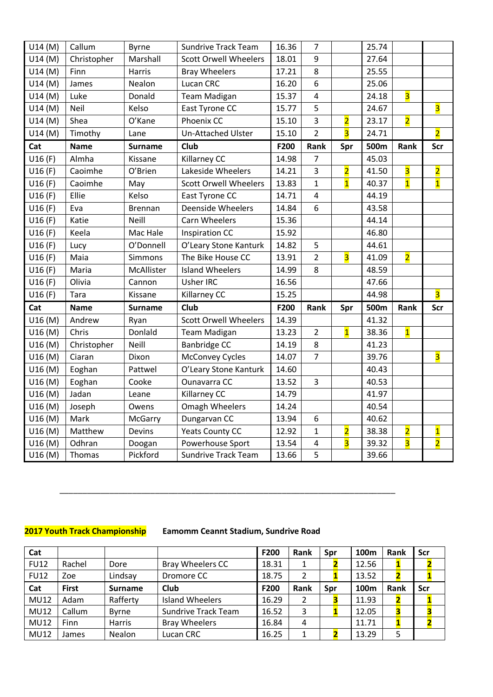| U14(M)  | Callum      | <b>Byrne</b>   | <b>Sundrive Track Team</b>   | 16.36 | $\overline{7}$ |                         | 25.74 |                         |                         |
|---------|-------------|----------------|------------------------------|-------|----------------|-------------------------|-------|-------------------------|-------------------------|
| U14(M)  | Christopher | Marshall       | <b>Scott Orwell Wheelers</b> | 18.01 | 9              |                         | 27.64 |                         |                         |
| U14(M)  | Finn        | Harris         | <b>Bray Wheelers</b>         | 17.21 | 8              |                         | 25.55 |                         |                         |
| U14(M)  | James       | Nealon         | Lucan CRC                    | 16.20 | 6              |                         | 25.06 |                         |                         |
| U14(M)  | Luke        | Donald         | <b>Team Madigan</b>          | 15.37 | 4              |                         | 24.18 | $\overline{\mathbf{3}}$ |                         |
| U14(M)  | Neil        | Kelso          | East Tyrone CC               | 15.77 | 5              |                         | 24.67 |                         | $\overline{\mathbf{3}}$ |
| U14(M)  | Shea        | O'Kane         | Phoenix CC                   | 15.10 | $\overline{3}$ | $\overline{\mathbf{2}}$ | 23.17 | $\overline{\mathbf{2}}$ |                         |
| U14(M)  | Timothy     | Lane           | <b>Un-Attached Ulster</b>    | 15.10 | $\overline{2}$ | $\overline{\mathbf{3}}$ | 24.71 |                         | $\overline{2}$          |
| Cat     | <b>Name</b> | <b>Surname</b> | Club                         | F200  | Rank           | Spr                     | 500m  | Rank                    | <b>Scr</b>              |
| U16(F)  | Almha       | Kissane        | <b>Killarney CC</b>          | 14.98 | $\overline{7}$ |                         | 45.03 |                         |                         |
| U16(F)  | Caoimhe     | O'Brien        | Lakeside Wheelers            | 14.21 | $\overline{3}$ | $\overline{\mathbf{2}}$ | 41.50 | $\overline{\mathbf{3}}$ | $\overline{\mathbf{2}}$ |
| U16(F)  | Caoimhe     | May            | <b>Scott Orwell Wheelers</b> | 13.83 | $\mathbf{1}$   | $\overline{\mathbf{1}}$ | 40.37 | $\overline{\mathbf{1}}$ | $\overline{\mathbf{1}}$ |
| U16(F)  | Ellie       | Kelso          | East Tyrone CC               | 14.71 | $\overline{4}$ |                         | 44.19 |                         |                         |
| U16(F)  | Eva         | <b>Brennan</b> | <b>Deenside Wheelers</b>     | 14.84 | 6              |                         | 43.58 |                         |                         |
| U16(F)  | Katie       | <b>Neill</b>   | Carn Wheelers                | 15.36 |                |                         | 44.14 |                         |                         |
| U16(F)  | Keela       | Mac Hale       | <b>Inspiration CC</b>        | 15.92 |                |                         | 46.80 |                         |                         |
| U16(F)  | Lucy        | O'Donnell      | O'Leary Stone Kanturk        | 14.82 | 5              |                         | 44.61 |                         |                         |
| U16(F)  | Maia        | Simmons        | The Bike House CC            | 13.91 | $\overline{2}$ | $\overline{\mathbf{3}}$ | 41.09 | $\overline{2}$          |                         |
| U16(F)  | Maria       | McAllister     | <b>Island Wheelers</b>       | 14.99 | 8              |                         | 48.59 |                         |                         |
| U16(F)  | Olivia      | Cannon         | <b>Usher IRC</b>             | 16.56 |                |                         | 47.66 |                         |                         |
| U16(F)  | Tara        | Kissane        | Killarney CC                 | 15.25 |                |                         | 44.98 |                         | $\overline{\mathbf{3}}$ |
| Cat     | <b>Name</b> | <b>Surname</b> | <b>Club</b>                  | F200  | Rank           | Spr                     | 500m  | Rank                    | <b>Scr</b>              |
| U16 (M) | Andrew      | Ryan           | <b>Scott Orwell Wheelers</b> | 14.39 |                |                         | 41.32 |                         |                         |
| U16 (M) | Chris       | Donlald        | <b>Team Madigan</b>          | 13.23 | $\overline{2}$ | $\overline{1}$          | 38.36 | $\overline{\mathbf{1}}$ |                         |
| U16 (M) | Christopher | Neill          | Banbridge CC                 | 14.19 | 8              |                         | 41.23 |                         |                         |
| U16 (M) | Ciaran      | Dixon          | <b>McConvey Cycles</b>       | 14.07 | $\overline{7}$ |                         | 39.76 |                         | $\overline{\mathbf{3}}$ |
| U16 (M) | Eoghan      | Pattwel        | O'Leary Stone Kanturk        | 14.60 |                |                         | 40.43 |                         |                         |
| U16 (M) | Eoghan      | Cooke          | Ounavarra CC                 | 13.52 | 3              |                         | 40.53 |                         |                         |
| U16 (M) | Jadan       | Leane          | Killarney CC                 | 14.79 |                |                         | 41.97 |                         |                         |
| U16 (M) | Joseph      | Owens          | Omagh Wheelers               | 14.24 |                |                         | 40.54 |                         |                         |
| U16 (M) | Mark        | McGarry        | Dungarvan CC                 | 13.94 | 6              |                         | 40.62 |                         |                         |
| U16 (M) | Matthew     | Devins         | <b>Yeats County CC</b>       | 12.92 | $\mathbf{1}$   | $\overline{\mathbf{2}}$ | 38.38 | $\overline{\mathbf{2}}$ | $\overline{\mathbf{1}}$ |
| U16 (M) | Odhran      | Doogan         | Powerhouse Sport             | 13.54 | 4              | $\overline{\mathbf{3}}$ | 39.32 | $\overline{\mathbf{3}}$ | $\overline{\mathbf{2}}$ |
| U16 (M) | Thomas      | Pickford       | <b>Sundrive Track Team</b>   | 13.66 | 5              |                         | 39.66 |                         |                         |

## **2017 Youth Track Championship Eamomm Ceannt Stadium, Sundrive Road**

\_\_\_\_\_\_\_\_\_\_\_\_\_\_\_\_\_\_\_\_\_\_\_\_\_\_\_\_\_\_\_\_\_\_\_\_\_\_\_\_\_\_\_\_\_\_\_\_\_\_\_\_\_\_\_\_\_\_\_\_\_\_\_\_\_\_\_\_\_\_\_\_\_\_

| Cat         |              |                |                            | F200  | <b>Rank</b> | Spr | 100 <sub>m</sub> | Rank |   | Scr |
|-------------|--------------|----------------|----------------------------|-------|-------------|-----|------------------|------|---|-----|
| <b>FU12</b> | Rachel       | Dore           | <b>Bray Wheelers CC</b>    | 18.31 |             |     | 12.56            |      |   |     |
| <b>FU12</b> | Zoe          | Lindsay        | Dromore CC                 | 18.75 |             |     | 13.52            |      |   |     |
| Cat         | <b>First</b> | <b>Surname</b> | Club                       | F200  | Rank        | Spr | 100 <sub>m</sub> | Rank |   | Scr |
| <b>MU12</b> | Adam         | Rafferty       | <b>Island Wheelers</b>     | 16.29 | 2           |     | 11.93            |      |   |     |
| <b>MU12</b> | Callum       | <b>Byrne</b>   | <b>Sundrive Track Team</b> | 16.52 | 3           |     | 12.05            |      |   |     |
| <b>MU12</b> | <b>Finn</b>  | <b>Harris</b>  | <b>Bray Wheelers</b>       | 16.84 | 4           |     | 11.71            |      |   |     |
| <b>MU12</b> | James        | Nealon         | Lucan CRC                  | 16.25 |             |     | 13.29            |      | 5 |     |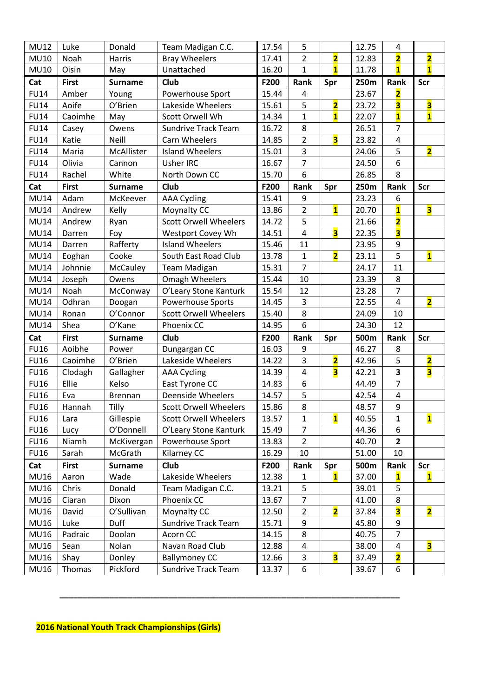| <b>MU12</b> | Luke           | Donald         | Team Madigan C.C.            | 17.54 | 5                       |                         | 12.75 | 4                       |                         |
|-------------|----------------|----------------|------------------------------|-------|-------------------------|-------------------------|-------|-------------------------|-------------------------|
| <b>MU10</b> | Noah           | Harris         | <b>Bray Wheelers</b>         | 17.41 | $\overline{2}$          | $\overline{\mathbf{2}}$ | 12.83 | $\overline{\mathbf{2}}$ | $\overline{\mathbf{2}}$ |
| <b>MU10</b> | Oisin          | May            | Unattached                   | 16.20 | $\mathbf{1}$            | $\overline{\mathbf{1}}$ | 11.78 | $\overline{\mathbf{1}}$ | $\mathbf{1}$            |
| Cat         | <b>First</b>   | <b>Surname</b> | Club                         | F200  | Rank                    | Spr                     | 250m  | Rank                    | Scr                     |
| <b>FU14</b> | Amber          | Young          | Powerhouse Sport             | 15.44 | 4                       |                         | 23.67 | $\overline{\mathbf{2}}$ |                         |
| <b>FU14</b> | Aoife          | O'Brien        | Lakeside Wheelers            | 15.61 | 5                       | $\overline{\mathbf{2}}$ | 23.72 | 3                       | 3                       |
| <b>FU14</b> | Caoimhe        | May            | Scott Orwell Wh              | 14.34 | $\mathbf{1}$            | $\overline{\mathbf{1}}$ | 22.07 | $\overline{\mathbf{1}}$ | $\mathbf{1}$            |
| <b>FU14</b> |                | Owens          | <b>Sundrive Track Team</b>   | 16.72 | 8                       |                         | 26.51 | $\overline{7}$          |                         |
| <b>FU14</b> | Casey<br>Katie | Neill          | Carn Wheelers                | 14.85 | $\overline{2}$          | $\overline{\mathbf{3}}$ | 23.82 | 4                       |                         |
| <b>FU14</b> | Maria          | McAllister     | <b>Island Wheelers</b>       | 15.01 | 3                       |                         | 24.06 | 5                       | $\overline{\mathbf{2}}$ |
| <b>FU14</b> | Olivia         | Cannon         | Usher IRC                    | 16.67 | $\overline{7}$          |                         | 24.50 | 6                       |                         |
|             |                |                | North Down CC                |       | 6                       |                         |       | 8                       |                         |
| <b>FU14</b> | Rachel         | White          |                              | 15.70 |                         |                         | 26.85 |                         |                         |
| Cat         | <b>First</b>   | <b>Surname</b> | Club                         | F200  | Rank                    | Spr                     | 250m  | Rank                    | <b>Scr</b>              |
| <b>MU14</b> | Adam           | McKeever       | <b>AAA Cycling</b>           | 15.41 | 9                       |                         | 23.23 | 6                       |                         |
| <b>MU14</b> | Andrew         | Kelly          | Moynalty CC                  | 13.86 | $\overline{2}$          | $\mathbf{1}$            | 20.70 | $\overline{\mathbf{1}}$ | $\overline{\mathbf{3}}$ |
| <b>MU14</b> | Andrew         | Ryan           | <b>Scott Orwell Wheelers</b> | 14.72 | 5                       |                         | 21.66 | $\overline{\mathbf{2}}$ |                         |
| <b>MU14</b> | Darren         | Foy            | Westport Covey Wh            | 14.51 | $\overline{\mathbf{4}}$ | 3                       | 22.35 | 3                       |                         |
| <b>MU14</b> | Darren         | Rafferty       | <b>Island Wheelers</b>       | 15.46 | 11                      |                         | 23.95 | 9                       |                         |
| <b>MU14</b> | Eoghan         | Cooke          | South East Road Club         | 13.78 | $\mathbf{1}$            | $\overline{\mathbf{2}}$ | 23.11 | 5                       | $\overline{\mathbf{1}}$ |
| <b>MU14</b> | Johnnie        | McCauley       | <b>Team Madigan</b>          | 15.31 | $\overline{7}$          |                         | 24.17 | 11                      |                         |
| <b>MU14</b> | Joseph         | Owens          | Omagh Wheelers               | 15.44 | 10                      |                         | 23.39 | 8                       |                         |
| <b>MU14</b> | Noah           | McConway       | O'Leary Stone Kanturk        | 15.54 | 12                      |                         | 23.28 | $\overline{7}$          |                         |
| <b>MU14</b> | Odhran         | Doogan         | <b>Powerhouse Sports</b>     | 14.45 | 3                       |                         | 22.55 | 4                       | $\overline{\mathbf{2}}$ |
| <b>MU14</b> | Ronan          | O'Connor       | <b>Scott Orwell Wheelers</b> | 15.40 | 8                       |                         | 24.09 | 10                      |                         |
| <b>MU14</b> | Shea           | O'Kane         | Phoenix CC                   | 14.95 | 6                       |                         | 24.30 | 12                      |                         |
| Cat         | <b>First</b>   | <b>Surname</b> | Club                         | F200  | Rank                    | Spr                     | 500m  | Rank                    | Scr                     |
| <b>FU16</b> | Aoibhe         | Power          | Dungargan CC                 | 16.03 | 9                       |                         | 46.27 | 8                       |                         |
| <b>FU16</b> | Caoimhe        | O'Brien        | Lakeside Wheelers            | 14.22 | 3                       | $\overline{\mathbf{2}}$ | 42.96 | 5                       | $\overline{\mathbf{2}}$ |
| <b>FU16</b> | Clodagh        | Gallagher      | <b>AAA Cycling</b>           |       |                         |                         |       |                         |                         |
|             |                |                |                              | 14.39 | $\overline{\mathbf{4}}$ | $\overline{\mathbf{3}}$ | 42.21 | $\overline{\mathbf{3}}$ | $\overline{\mathbf{3}}$ |
| <b>FU16</b> | Ellie          | Kelso          | East Tyrone CC               | 14.83 | 6                       |                         | 44.49 | $\overline{7}$          |                         |
| <b>FU16</b> | Eva            | Brennan        | <b>Deenside Wheelers</b>     | 14.57 | 5                       |                         | 42.54 | 4                       |                         |
| <b>FU16</b> | Hannah         | Tilly          | <b>Scott Orwell Wheelers</b> | 15.86 | 8                       |                         | 48.57 | 9                       |                         |
| <b>FU16</b> | Lara           | Gillespie      | <b>Scott Orwell Wheelers</b> | 13.57 | $\mathbf{1}$            | $\overline{\mathbf{1}}$ | 40.55 | $\mathbf{1}$            | $\mathbf{1}$            |
| <b>FU16</b> | Lucy           | O'Donnell      | O'Leary Stone Kanturk        | 15.49 | $\overline{7}$          |                         | 44.36 | 6                       |                         |
| <b>FU16</b> | Niamh          | McKivergan     | Powerhouse Sport             | 13.83 | $\overline{2}$          |                         | 40.70 | $\mathbf{2}$            |                         |
| <b>FU16</b> | Sarah          | McGrath        | Kilarney CC                  | 16.29 | 10                      |                         | 51.00 | 10                      |                         |
| Cat         | <b>First</b>   | <b>Surname</b> | Club                         | F200  | Rank                    | Spr                     | 500m  | Rank                    | <b>Scr</b>              |
| <b>MU16</b> | Aaron          | Wade           | Lakeside Wheelers            | 12.38 | $\mathbf{1}$            | $\mathbf{1}$            | 37.00 | $\mathbf{1}$            | $\mathbf{1}$            |
| <b>MU16</b> | Chris          | Donald         | Team Madigan C.C.            | 13.21 | 5                       |                         | 39.01 | 5                       |                         |
| <b>MU16</b> | Ciaran         | Dixon          | Phoenix CC                   | 13.67 | $\overline{7}$          |                         | 41.00 | 8                       |                         |
| <b>MU16</b> | David          | O'Sullivan     | Moynalty CC                  | 12.50 | $\overline{2}$          | $\overline{\mathbf{2}}$ | 37.84 | 3                       | $\overline{\mathbf{2}}$ |
| <b>MU16</b> | Luke           | <b>Duff</b>    | Sundrive Track Team          | 15.71 | 9                       |                         | 45.80 | 9                       |                         |
| <b>MU16</b> | Padraic        | Doolan         | Acorn CC                     | 14.15 | 8                       |                         | 40.75 | $\overline{7}$          |                         |
| <b>MU16</b> | Sean           | Nolan          | Navan Road Club              | 12.88 | 4                       |                         | 38.00 | 4                       | 3                       |
| <b>MU16</b> | Shay           | Donley         | <b>Ballymoney CC</b>         | 12.66 | 3                       | $\overline{\mathbf{3}}$ | 37.49 | $\overline{\mathbf{2}}$ |                         |

**\_\_\_\_\_\_\_\_\_\_\_\_\_\_\_\_\_\_\_\_\_\_\_\_\_\_\_\_\_\_\_\_\_\_\_\_\_\_\_\_\_\_\_\_\_\_\_\_\_\_\_\_\_\_\_\_\_\_\_\_\_\_\_\_\_\_\_\_\_\_\_\_\_\_\_**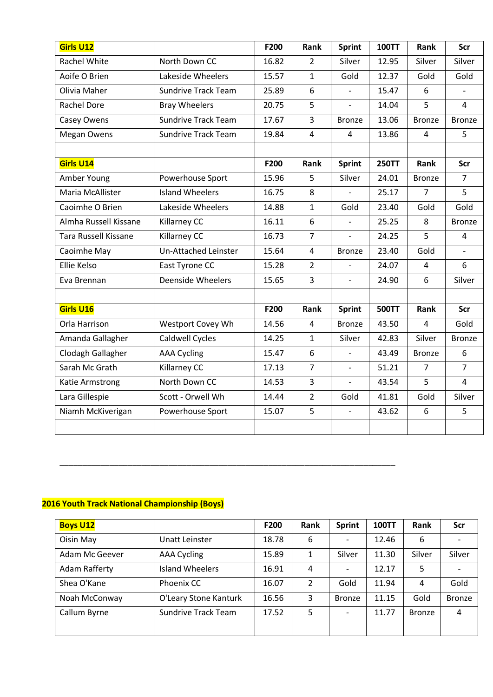| <b>Girls U12</b>            |                            | F200  | Rank           | <b>Sprint</b>            | <b>100TT</b> | Rank           | Scr            |
|-----------------------------|----------------------------|-------|----------------|--------------------------|--------------|----------------|----------------|
| <b>Rachel White</b>         | North Down CC              | 16.82 | $\overline{2}$ | Silver                   | 12.95        | Silver         | Silver         |
| Aoife O Brien               | Lakeside Wheelers          | 15.57 | $\mathbf{1}$   | Gold                     | 12.37        | Gold           | Gold           |
| Olivia Maher                | <b>Sundrive Track Team</b> | 25.89 | 6              |                          | 15.47        | 6              |                |
| <b>Rachel Dore</b>          | <b>Bray Wheelers</b>       | 20.75 | 5              | $\overline{a}$           | 14.04        | 5              | $\overline{4}$ |
| <b>Casey Owens</b>          | <b>Sundrive Track Team</b> | 17.67 | 3              | <b>Bronze</b>            | 13.06        | <b>Bronze</b>  | <b>Bronze</b>  |
| Megan Owens                 | <b>Sundrive Track Team</b> | 19.84 | $\overline{4}$ | 4                        | 13.86        | $\overline{4}$ | 5              |
|                             |                            |       |                |                          |              |                |                |
| Girls U14                   |                            | F200  | Rank           | <b>Sprint</b>            | <b>250TT</b> | Rank           | Scr            |
| Amber Young                 | Powerhouse Sport           | 15.96 | 5              | Silver                   | 24.01        | <b>Bronze</b>  | $\overline{7}$ |
| Maria McAllister            | <b>Island Wheelers</b>     | 16.75 | 8              |                          | 25.17        | $\overline{7}$ | 5              |
| Caoimhe O Brien             | Lakeside Wheelers          | 14.88 | $\mathbf{1}$   | Gold                     | 23.40        | Gold           | Gold           |
| Almha Russell Kissane       | Killarney CC               | 16.11 | 6              | $\overline{a}$           | 25.25        | 8              | <b>Bronze</b>  |
| <b>Tara Russell Kissane</b> | Killarney CC               | 16.73 | $\overline{7}$ | $\overline{a}$           | 24.25        | 5              | 4              |
| Caoimhe May                 | Un-Attached Leinster       | 15.64 | 4              | <b>Bronze</b>            | 23.40        | Gold           |                |
| Ellie Kelso                 | East Tyrone CC             | 15.28 | $\overline{2}$ |                          | 24.07        | 4              | 6              |
| Eva Brennan                 | <b>Deenside Wheelers</b>   | 15.65 | 3              | $\overline{\phantom{0}}$ | 24.90        | 6              | Silver         |
|                             |                            |       |                |                          |              |                |                |
| Girls U16                   |                            | F200  | Rank           | <b>Sprint</b>            | <b>500TT</b> | Rank           | Scr            |
| Orla Harrison               | Westport Covey Wh          | 14.56 | $\overline{4}$ | <b>Bronze</b>            | 43.50        | 4              | Gold           |
| Amanda Gallagher            | Caldwell Cycles            | 14.25 | $\mathbf{1}$   | Silver                   | 42.83        | Silver         | <b>Bronze</b>  |
| Clodagh Gallagher           | <b>AAA Cycling</b>         | 15.47 | 6              |                          | 43.49        | <b>Bronze</b>  | 6              |
| Sarah Mc Grath              | Killarney CC               | 17.13 | $\overline{7}$ | $\overline{a}$           | 51.21        | $\overline{7}$ | $\overline{7}$ |
| Katie Armstrong             | North Down CC              | 14.53 | $\overline{3}$ | $\overline{a}$           | 43.54        | 5              | $\overline{4}$ |
| Lara Gillespie              | Scott - Orwell Wh          | 14.44 | $\overline{2}$ | Gold                     | 41.81        | Gold           | Silver         |
| Niamh McKiverigan           | Powerhouse Sport           | 15.07 | 5              | $\overline{a}$           | 43.62        | 6              | 5              |
|                             |                            |       |                |                          |              |                |                |

## **2016 Youth Track National Championship (Boys)**

| <b>Boys U12</b> |                            | F200  | <b>Rank</b> | <b>Sprint</b> | <b>100TT</b> | <b>Rank</b>   | Scr           |
|-----------------|----------------------------|-------|-------------|---------------|--------------|---------------|---------------|
| Oisin May       | Unatt Leinster             | 18.78 | 6           |               | 12.46        | 6             |               |
| Adam Mc Geever  | AAA Cycling                | 15.89 | 1           | Silver        | 11.30        | Silver        | Silver        |
| Adam Rafferty   | Island Wheelers            | 16.91 | 4           |               | 12.17        | 5             |               |
| Shea O'Kane     | Phoenix CC                 | 16.07 | 2           | Gold          | 11.94        | 4             | Gold          |
| Noah McConway   | O'Leary Stone Kanturk      | 16.56 | 3           | <b>Bronze</b> | 11.15        | Gold          | <b>Bronze</b> |
| Callum Byrne    | <b>Sundrive Track Team</b> | 17.52 | 5           |               | 11.77        | <b>Bronze</b> | 4             |
|                 |                            |       |             |               |              |               |               |

\_\_\_\_\_\_\_\_\_\_\_\_\_\_\_\_\_\_\_\_\_\_\_\_\_\_\_\_\_\_\_\_\_\_\_\_\_\_\_\_\_\_\_\_\_\_\_\_\_\_\_\_\_\_\_\_\_\_\_\_\_\_\_\_\_\_\_\_\_\_\_\_\_\_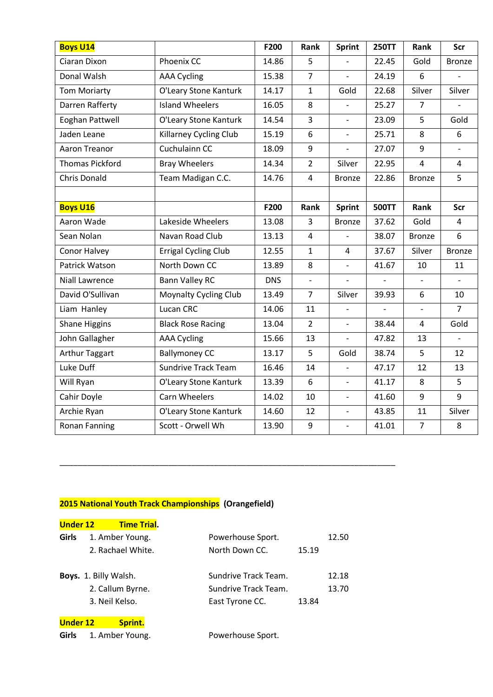| <b>Boys U14</b>        |                              | F200       | Rank           | <b>Sprint</b>            | <b>250TT</b>  | Rank           | Scr                      |
|------------------------|------------------------------|------------|----------------|--------------------------|---------------|----------------|--------------------------|
| Ciaran Dixon           | Phoenix CC                   | 14.86      | 5              |                          | 22.45         | Gold           | <b>Bronze</b>            |
| Donal Walsh            | <b>AAA Cycling</b>           | 15.38      | $\overline{7}$ |                          | 24.19         | 6              |                          |
| <b>Tom Moriarty</b>    | O'Leary Stone Kanturk        | 14.17      | $\mathbf{1}$   | Gold                     | 22.68         | Silver         | Silver                   |
| Darren Rafferty        | <b>Island Wheelers</b>       | 16.05      | 8              |                          | 25.27         | $\overline{7}$ |                          |
| Eoghan Pattwell        | O'Leary Stone Kanturk        | 14.54      | 3              | $\frac{1}{2}$            | 23.09         | 5              | Gold                     |
| Jaden Leane            | Killarney Cycling Club       | 15.19      | 6              |                          | 25.71         | 8              | 6                        |
| Aaron Treanor          | Cuchulainn CC                | 18.09      | 9              |                          | 27.07         | 9              |                          |
| <b>Thomas Pickford</b> | <b>Bray Wheelers</b>         | 14.34      | $\overline{2}$ | Silver                   | 22.95         | $\overline{4}$ | $\overline{4}$           |
| <b>Chris Donald</b>    | Team Madigan C.C.            | 14.76      | 4              | <b>Bronze</b>            | 22.86         | <b>Bronze</b>  | 5                        |
|                        |                              |            |                |                          |               |                |                          |
| <b>Boys U16</b>        |                              | F200       | Rank           | <b>Sprint</b>            | <b>500TT</b>  | Rank           | Scr                      |
| Aaron Wade             | Lakeside Wheelers            | 13.08      | 3              | <b>Bronze</b>            | 37.62         | Gold           | 4                        |
| Sean Nolan             | Navan Road Club              | 13.13      | 4              | $\overline{a}$           | 38.07         | <b>Bronze</b>  | 6                        |
| Conor Halvey           | Errigal Cycling Club         | 12.55      | $\mathbf{1}$   | 4                        | 37.67         | Silver         | <b>Bronze</b>            |
| Patrick Watson         | North Down CC                | 13.89      | 8              | $\overline{a}$           | 41.67         | 10             | 11                       |
| <b>Niall Lawrence</b>  | <b>Bann Valley RC</b>        | <b>DNS</b> | $\blacksquare$ | $\overline{a}$           | $\frac{1}{2}$ | $\blacksquare$ | $\blacksquare$           |
| David O'Sullivan       | <b>Moynalty Cycling Club</b> | 13.49      | $\overline{7}$ | Silver                   | 39.93         | 6              | 10                       |
| Liam Hanley            | <b>Lucan CRC</b>             | 14.06      | 11             |                          |               | $\overline{a}$ | $\overline{7}$           |
| <b>Shane Higgins</b>   | <b>Black Rose Racing</b>     | 13.04      | $\overline{2}$ | $\overline{a}$           | 38.44         | $\overline{4}$ | Gold                     |
| John Gallagher         | <b>AAA Cycling</b>           | 15.66      | 13             | $\blacksquare$           | 47.82         | 13             | $\overline{\phantom{a}}$ |
| <b>Arthur Taggart</b>  | <b>Ballymoney CC</b>         | 13.17      | 5              | Gold                     | 38.74         | 5              | 12                       |
| Luke Duff              | <b>Sundrive Track Team</b>   | 16.46      | 14             |                          | 47.17         | 12             | 13                       |
| Will Ryan              | O'Leary Stone Kanturk        | 13.39      | 6              | $\overline{a}$           | 41.17         | 8              | 5                        |
| Cahir Doyle            | <b>Carn Wheelers</b>         | 14.02      | 10             | $\overline{\phantom{a}}$ | 41.60         | 9              | 9                        |
| Archie Ryan            | O'Leary Stone Kanturk        | 14.60      | 12             | $\overline{\phantom{0}}$ | 43.85         | 11             | Silver                   |
| <b>Ronan Fanning</b>   | Scott - Orwell Wh            | 13.90      | 9              | $\overline{\phantom{a}}$ | 41.01         | $\overline{7}$ | 8                        |

## **2015 National Youth Track Championships (Orangefield)**

| <b>Under 12</b> | <b>Time Trial.</b>                                                                                                                  |                      |       |       |
|-----------------|-------------------------------------------------------------------------------------------------------------------------------------|----------------------|-------|-------|
| Girls           | 1. Amber Young.                                                                                                                     | Powerhouse Sport.    |       | 12.50 |
|                 | 2. Rachael White.                                                                                                                   | North Down CC.       | 15.19 |       |
|                 | Boys. 1. Billy Walsh.                                                                                                               | Sundrive Track Team. |       | 12.18 |
|                 | 2. Callum Byrne.                                                                                                                    | Sundrive Track Team. |       | 13.70 |
|                 | 3. Neil Kelso.                                                                                                                      | East Tyrone CC.      | 13.84 |       |
|                 | $\mathbf{r}$ and $\mathbf{r}$ and $\mathbf{r}$ and $\mathbf{r}$ and $\mathbf{r}$ and $\mathbf{r}$ and $\mathbf{r}$ and $\mathbf{r}$ |                      |       |       |

\_\_\_\_\_\_\_\_\_\_\_\_\_\_\_\_\_\_\_\_\_\_\_\_\_\_\_\_\_\_\_\_\_\_\_\_\_\_\_\_\_\_\_\_\_\_\_\_\_\_\_\_\_\_\_\_\_\_\_\_\_\_\_\_\_\_\_\_\_\_\_\_\_\_

|  |  | Under 12 | Sprint. |
|--|--|----------|---------|
|--|--|----------|---------|

| Girls | 1. Amber Young. |  |  |
|-------|-----------------|--|--|
|-------|-----------------|--|--|

Powerhouse Sport.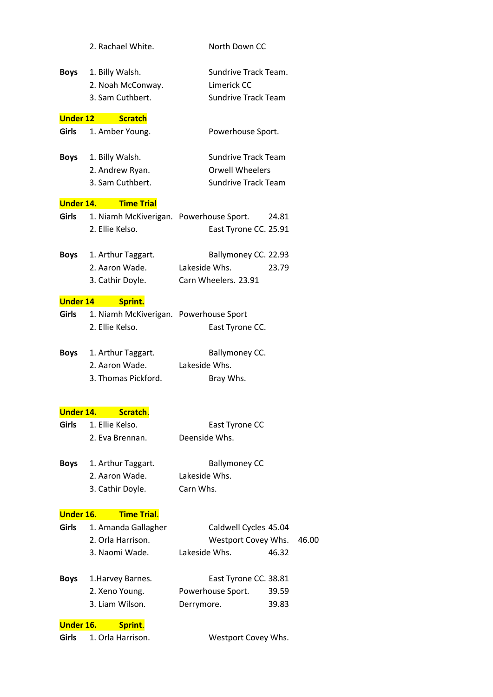|                  | 2. Rachael White.                       | North Down CC                   |       |
|------------------|-----------------------------------------|---------------------------------|-------|
| Boys             | 1. Billy Walsh.                         | Sundrive Track Team.            |       |
|                  | 2. Noah McConway.                       | Limerick CC                     |       |
|                  | 3. Sam Cuthbert.                        | <b>Sundrive Track Team</b>      |       |
| <b>Under 12</b>  | <b>Scratch</b>                          |                                 |       |
| <b>Girls</b>     | 1. Amber Young.                         | Powerhouse Sport.               |       |
| Boys             | 1. Billy Walsh.                         | <b>Sundrive Track Team</b>      |       |
|                  | 2. Andrew Ryan.                         | <b>Orwell Wheelers</b>          |       |
|                  | 3. Sam Cuthbert.                        | <b>Sundrive Track Team</b>      |       |
| <b>Under 14.</b> | <b>Time Trial</b>                       |                                 |       |
| <b>Girls</b>     | 1. Niamh McKiverigan. Powerhouse Sport. | 24.81                           |       |
|                  | 2. Ellie Kelso.                         | East Tyrone CC. 25.91           |       |
| <b>Boys</b>      | 1. Arthur Taggart.                      | Ballymoney CC. 22.93            |       |
|                  | 2. Aaron Wade.                          | Lakeside Whs.<br>23.79          |       |
|                  | 3. Cathir Doyle.                        | Carn Wheelers. 23.91            |       |
| <b>Under 14</b>  | Sprint.                                 |                                 |       |
| <b>Girls</b>     | 1. Niamh McKiverigan. Powerhouse Sport  |                                 |       |
|                  | 2. Ellie Kelso.                         | East Tyrone CC.                 |       |
| Boys             | 1. Arthur Taggart.                      | Ballymoney CC.                  |       |
|                  | 2. Aaron Wade.                          | Lakeside Whs.                   |       |
|                  | 3. Thomas Pickford.                     | Bray Whs.                       |       |
|                  |                                         |                                 |       |
| <b>Under 14.</b> | Scratch.                                |                                 |       |
| Girls            | 1. Ellie Kelso.<br>2. Eva Brennan.      | East Tyrone CC<br>Deenside Whs. |       |
|                  |                                         |                                 |       |
| <b>Boys</b>      | 1. Arthur Taggart.                      | <b>Ballymoney CC</b>            |       |
|                  | 2. Aaron Wade.                          | Lakeside Whs.                   |       |
|                  | 3. Cathir Doyle.                        | Carn Whs.                       |       |
| <b>Under 16.</b> | <b>Time Trial.</b>                      |                                 |       |
| <b>Girls</b>     | 1. Amanda Gallagher                     | Caldwell Cycles 45.04           |       |
|                  | 2. Orla Harrison.                       | Westport Covey Whs.             | 46.00 |
|                  | 3. Naomi Wade.                          | Lakeside Whs.<br>46.32          |       |
| <b>Boys</b>      | 1. Harvey Barnes.                       | East Tyrone CC. 38.81           |       |
|                  | 2. Xeno Young.                          | Powerhouse Sport.<br>39.59      |       |
|                  | 3. Liam Wilson.                         | 39.83<br>Derrymore.             |       |
| <b>Under 16.</b> | Sprint.                                 |                                 |       |
| Girls            | 1. Orla Harrison.                       | Westport Covey Whs.             |       |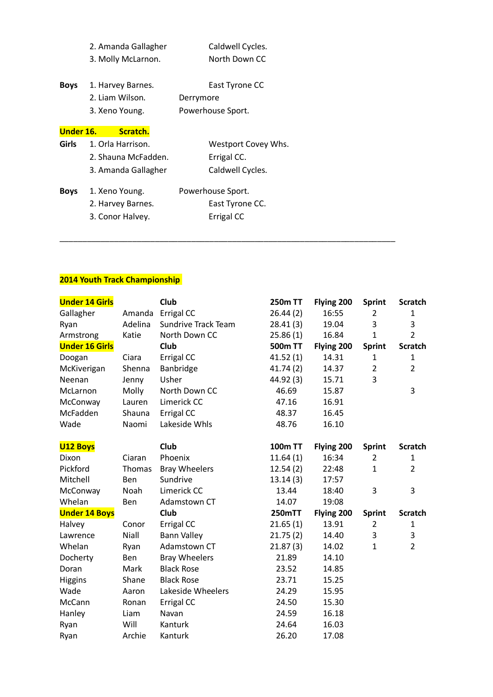|             | 2. Amanda Gallagher     | Caldwell Cycles.    |
|-------------|-------------------------|---------------------|
|             | 3. Molly McLarnon.      | North Down CC       |
| <b>Boys</b> | 1. Harvey Barnes.       | East Tyrone CC      |
|             | 2. Liam Wilson.         | Derrymore           |
|             | 3. Xeno Young.          | Powerhouse Sport.   |
| Under 16.   | Scratch.                |                     |
|             | Girls 1. Orla Harrison. | Westport Covey Whs. |
|             | 2. Shauna McFadden.     | Errigal CC.         |
|             | 3. Amanda Gallagher     | Caldwell Cycles.    |
| <b>Boys</b> | 1. Xeno Young.          | Powerhouse Sport.   |
|             | 7 Harvou Rarnoc         | East Turong CC      |

2. Harvey Barnes. East Tyrone CC. 3. Conor Halvey. Errigal CC

## **2014 Youth Track Championship**

| <b>Under 14 Girls</b> |         | <b>Club</b>                | <b>250m TT</b> | Flying 200 | <b>Sprint</b>  | <b>Scratch</b> |
|-----------------------|---------|----------------------------|----------------|------------|----------------|----------------|
| Gallagher             | Amanda  | Errigal CC                 | 26.44(2)       | 16:55      | 2              | 1              |
| Ryan                  | Adelina | <b>Sundrive Track Team</b> | 28.41(3)       | 19.04      | 3              | 3              |
| Armstrong             | Katie   | North Down CC              | 25.86(1)       | 16.84      | $\mathbf{1}$   | $\overline{2}$ |
| <b>Under 16 Girls</b> |         | Club                       | 500m TT        | Flying 200 | <b>Sprint</b>  | <b>Scratch</b> |
| Doogan                | Ciara   | Errigal CC                 | 41.52(1)       | 14.31      | $\mathbf{1}$   | $\mathbf{1}$   |
| McKiverigan           | Shenna  | Banbridge                  | 41.74(2)       | 14.37      | $\overline{2}$ | $\overline{2}$ |
| Neenan                | Jenny   | Usher                      | 44.92 (3)      | 15.71      | 3              |                |
| McLarnon              | Molly   | North Down CC              | 46.69          | 15.87      |                | 3              |
| McConway              | Lauren  | Limerick CC                | 47.16          | 16.91      |                |                |
| McFadden              | Shauna  | Errigal CC                 | 48.37          | 16.45      |                |                |
| Wade                  | Naomi   | Lakeside Whls              | 48.76          | 16.10      |                |                |
| <b>U12 Boys</b>       |         | Club                       | <b>100m TT</b> | Flying 200 | <b>Sprint</b>  | <b>Scratch</b> |
| Dixon                 | Ciaran  | Phoenix                    | 11.64(1)       | 16:34      | 2              | $\mathbf{1}$   |
| Pickford              | Thomas  | <b>Bray Wheelers</b>       | 12.54(2)       | 22:48      | $\mathbf{1}$   | $\overline{2}$ |
| Mitchell              | Ben     | Sundrive                   | 13.14(3)       | 17:57      |                |                |
| McConway              | Noah    | Limerick CC                | 13.44          | 18:40      | 3              | 3              |
| Whelan                | Ben     | Adamstown CT               | 14.07          | 19:08      |                |                |
| <b>Under 14 Boys</b>  |         | <b>Club</b>                | <b>250mTT</b>  | Flying 200 | <b>Sprint</b>  | <b>Scratch</b> |
| Halvey                | Conor   | Errigal CC                 | 21.65(1)       | 13.91      | $\overline{2}$ | $\mathbf{1}$   |
| Lawrence              | Niall   | <b>Bann Valley</b>         | 21.75(2)       | 14.40      | 3              | 3              |
| Whelan                | Ryan    | Adamstown CT               | 21.87(3)       | 14.02      | $\mathbf{1}$   | $\overline{2}$ |
| Docherty              | Ben     | <b>Bray Wheelers</b>       | 21.89          | 14.10      |                |                |
| Doran                 | Mark    | <b>Black Rose</b>          | 23.52          | 14.85      |                |                |
| Higgins               | Shane   | <b>Black Rose</b>          | 23.71          | 15.25      |                |                |
| Wade                  | Aaron   | Lakeside Wheelers          | 24.29          | 15.95      |                |                |
| McCann                | Ronan   | Errigal CC                 | 24.50          | 15.30      |                |                |
| Hanley                | Liam    | Navan                      | 24.59          | 16.18      |                |                |
| Ryan                  | Will    | Kanturk                    | 24.64          | 16.03      |                |                |
| Ryan                  | Archie  | Kanturk                    | 26.20          | 17.08      |                |                |

\_\_\_\_\_\_\_\_\_\_\_\_\_\_\_\_\_\_\_\_\_\_\_\_\_\_\_\_\_\_\_\_\_\_\_\_\_\_\_\_\_\_\_\_\_\_\_\_\_\_\_\_\_\_\_\_\_\_\_\_\_\_\_\_\_\_\_\_\_\_\_\_\_\_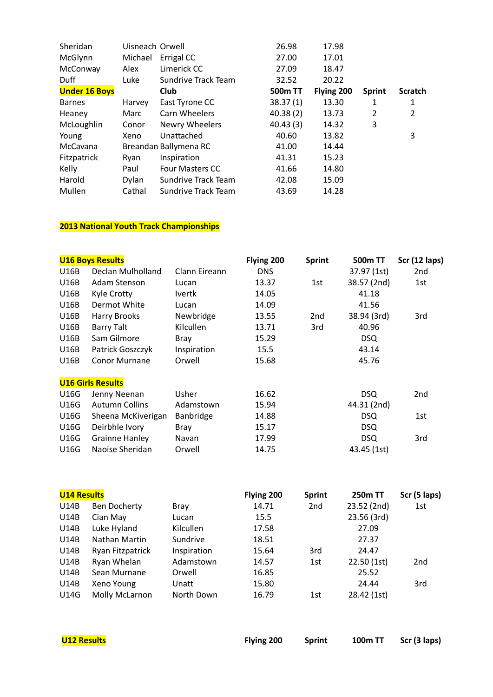| Sheridan             | Uisneach Orwell |                        | 26.98    | 17.98      |                |                |
|----------------------|-----------------|------------------------|----------|------------|----------------|----------------|
| McGlynn              | Michael         | Errigal CC             | 27.00    | 17.01      |                |                |
| McConway             | Alex            | Limerick CC            | 27.09    | 18.47      |                |                |
| Duff                 | Luke            | Sundrive Track Team    | 32.52    | 20.22      |                |                |
| <b>Under 16 Boys</b> |                 | Club                   | 500m TT  | Flying 200 | <b>Sprint</b>  | <b>Scratch</b> |
| <b>Barnes</b>        | Harvey          | East Tyrone CC         | 38.37(1) | 13.30      |                | 1              |
| Heaney               | Marc            | Carn Wheelers          | 40.38(2) | 13.73      | $\overline{2}$ | 2              |
| McLoughlin           | Conor           | Newry Wheelers         | 40.43(3) | 14.32      | 3              |                |
| Young                | Xeno            | Unattached             | 40.60    | 13.82      |                | 3              |
| McCavana             |                 | Breandan Ballymena RC  | 41.00    | 14.44      |                |                |
| Fitzpatrick          | Ryan            | Inspiration            | 41.31    | 15.23      |                |                |
| Kelly                | Paul            | <b>Four Masters CC</b> | 41.66    | 14.80      |                |                |
| Harold               | Dylan           | Sundrive Track Team    | 42.08    | 15.09      |                |                |
| Mullen               | Cathal          | Sundrive Track Team    | 43.69    | 14.28      |                |                |

| <b>U16 Boys Results</b>  |               | Flying 200 | <b>Sprint</b> | 500m TT     | Scr (12 laps) |
|--------------------------|---------------|------------|---------------|-------------|---------------|
| Declan Mulholland        | Clann Eireann | <b>DNS</b> |               | 37.97 (1st) | 2nd           |
| Adam Stenson             | Lucan         | 13.37      | 1st           | 38.57 (2nd) | 1st           |
| Kyle Crotty              | Ivertk        | 14.05      |               | 41.18       |               |
| Dermot White             | Lucan         | 14.09      |               | 41.56       |               |
| Harry Brooks             | Newbridge     | 13.55      | 2nd           | 38.94 (3rd) | 3rd           |
| Barry Talt               | Kilcullen     | 13.71      | 3rd           | 40.96       |               |
| Sam Gilmore              | <b>Bray</b>   | 15.29      |               | <b>DSQ</b>  |               |
| Patrick Goszczyk         | Inspiration   | 15.5       |               | 43.14       |               |
| <b>Conor Murnane</b>     | Orwell        | 15.68      |               | 45.76       |               |
| <b>U16 Girls Results</b> |               |            |               |             |               |
| Jenny Neenan             | Usher         | 16.62      |               | <b>DSQ</b>  | 2nd           |
| <b>Autumn Collins</b>    | Adamstown     | 15.94      |               | 44.31 (2nd) |               |
| Sheena McKiverigan       | Banbridge     | 14.88      |               | <b>DSQ</b>  | 1st           |
| Deirbhle Ivory           | Bray          | 15.17      |               | <b>DSQ</b>  |               |
| <b>Grainne Hanley</b>    | Navan         | 17.99      |               | <b>DSQ</b>  | 3rd           |
| Naoise Sheridan          | Orwell        | 14.75      |               | 43.45 (1st) |               |
|                          |               |            |               |             |               |

| <b>U14 Results</b> |                     |             | Flying 200 | <b>Sprint</b>   | <b>250m TT</b> | Scr (5 laps)    |
|--------------------|---------------------|-------------|------------|-----------------|----------------|-----------------|
| U14B               | <b>Ben Docherty</b> | <b>Bray</b> | 14.71      | 2 <sub>nd</sub> | 23.52 (2nd)    | 1st             |
| U14B               | Cian May            | Lucan       | 15.5       |                 | 23.56 (3rd)    |                 |
| U14B               | Luke Hyland         | Kilcullen   | 17.58      |                 | 27.09          |                 |
| U14B               | Nathan Martin       | Sundrive    | 18.51      |                 | 27.37          |                 |
| U14B               | Ryan Fitzpatrick    | Inspiration | 15.64      | 3rd             | 24.47          |                 |
| U14B               | Ryan Whelan         | Adamstown   | 14.57      | 1st             | 22.50(1st)     | 2 <sub>nd</sub> |
| U14B               | Sean Murnane        | Orwell      | 16.85      |                 | 25.52          |                 |
| U14B               | Xeno Young          | Unatt       | 15.80      |                 | 24.44          | 3rd             |
| <b>U14G</b>        | Molly McLarnon      | North Down  | 16.79      | 1st             | 28.42 (1st)    |                 |

| <b>U12 Results</b> | <b>Flying 200</b> | Sprint | 100m TT Scr (3 laps) |
|--------------------|-------------------|--------|----------------------|
|                    |                   |        |                      |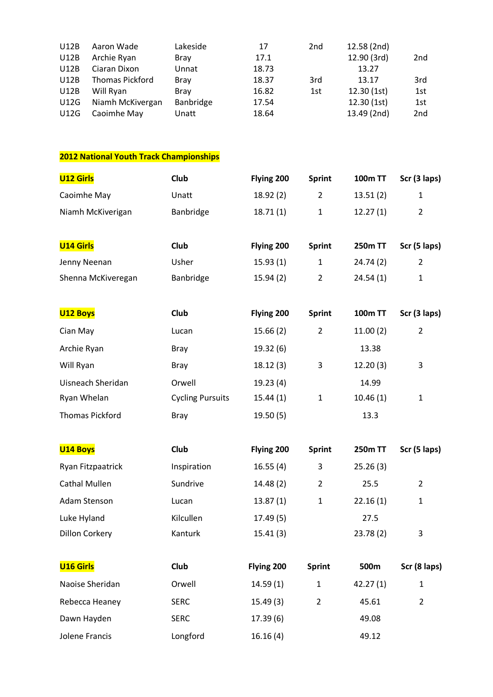| <b>U12B</b> | Aaron Wade       | Lakeside    | 17    | 2 <sub>nd</sub> | 12.58 (2nd) |     |
|-------------|------------------|-------------|-------|-----------------|-------------|-----|
| <b>U12B</b> | Archie Ryan      | <b>Bray</b> | 17.1  |                 | 12.90 (3rd) | 2nd |
| <b>U12B</b> | Ciaran Dixon     | Unnat       | 18.73 |                 | 13.27       |     |
| <b>U12B</b> | Thomas Pickford  | <b>Bray</b> | 18.37 | 3rd             | 13.17       | 3rd |
| <b>U12B</b> | Will Ryan        | <b>Brav</b> | 16.82 | 1st             | 12.30(1st)  | 1st |
| <b>U12G</b> | Niamh McKivergan | Banbridge   | 17.54 |                 | 12.30(1st)  | 1st |
| U12G        | Caoimhe May      | Unatt       | 18.64 |                 | 13.49 (2nd) | 2nd |

| <b>U12 Girls</b>       | <b>Club</b>             | Flying 200 | <b>Sprint</b>  | <b>100m TT</b> | Scr (3 laps)   |
|------------------------|-------------------------|------------|----------------|----------------|----------------|
| Caoimhe May            | Unatt                   | 18.92(2)   | $\overline{2}$ | 13.51(2)       | $\mathbf{1}$   |
| Niamh McKiverigan      | Banbridge               | 18.71(1)   | $\mathbf{1}$   | 12.27(1)       | $\overline{2}$ |
| <b>U14 Girls</b>       | Club                    | Flying 200 | <b>Sprint</b>  | <b>250m TT</b> | Scr (5 laps)   |
| Jenny Neenan           | Usher                   | 15.93(1)   | $\mathbf{1}$   | 24.74(2)       | $\overline{2}$ |
| Shenna McKiveregan     | Banbridge               | 15.94(2)   | $\overline{2}$ | 24.54(1)       | $\mathbf{1}$   |
| <b>U12 Boys</b>        | Club                    | Flying 200 | <b>Sprint</b>  | <b>100m TT</b> | Scr (3 laps)   |
| Cian May               | Lucan                   | 15.66(2)   | $\overline{2}$ | 11.00(2)       | $\overline{2}$ |
| Archie Ryan            | <b>Bray</b>             | 19.32(6)   |                | 13.38          |                |
| Will Ryan              | <b>Bray</b>             | 18.12(3)   | 3              | 12.20(3)       | 3              |
| Uisneach Sheridan      | Orwell                  | 19.23(4)   |                | 14.99          |                |
| Ryan Whelan            | <b>Cycling Pursuits</b> | 15.44(1)   | $\mathbf{1}$   | 10.46(1)       | 1              |
| <b>Thomas Pickford</b> | <b>Bray</b>             | 19.50(5)   |                | 13.3           |                |
| <b>U14 Boys</b>        | Club                    | Flying 200 | <b>Sprint</b>  | <b>250m TT</b> | Scr (5 laps)   |
| Ryan Fitzpaatrick      | Inspiration             | 16.55(4)   | 3              | 25.26(3)       |                |
| <b>Cathal Mullen</b>   | Sundrive                | 14.48(2)   | $\overline{2}$ | 25.5           | $\overline{2}$ |
| Adam Stenson           | Lucan                   | 13.87(1)   | $\mathbf{1}$   | 22.16(1)       | $\mathbf{1}$   |
| Luke Hyland            | Kilcullen               | 17.49(5)   |                | 27.5           |                |
| <b>Dillon Corkery</b>  | Kanturk                 | 15.41(3)   |                | 23.78(2)       | 3              |
| <b>U16 Girls</b>       | Club                    | Flying 200 | <b>Sprint</b>  | 500m           | Scr (8 laps)   |
| Naoise Sheridan        | Orwell                  | 14.59(1)   | $\mathbf{1}$   | 42.27(1)       | 1              |
| Rebecca Heaney         | <b>SERC</b>             | 15.49(3)   | $\overline{2}$ | 45.61          | $\overline{2}$ |
| Dawn Hayden            | <b>SERC</b>             | 17.39(6)   |                | 49.08          |                |
| Jolene Francis         | Longford                | 16.16(4)   |                | 49.12          |                |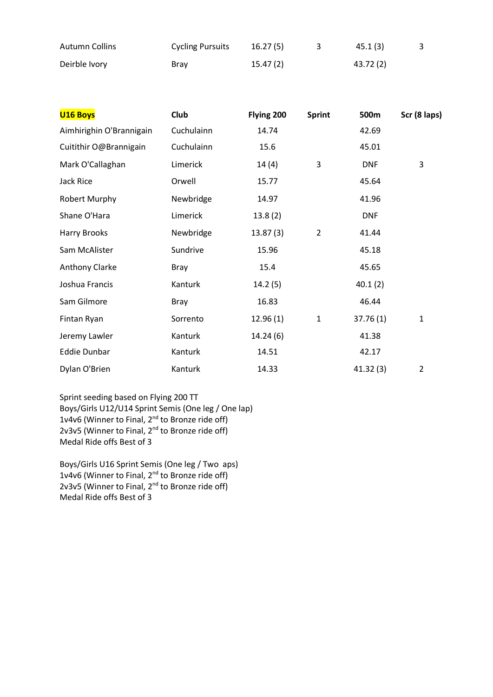| <b>Autumn Collins</b> | <b>Cycling Pursuits</b> | 16.27(5) | 45.1 (3)  |  |
|-----------------------|-------------------------|----------|-----------|--|
| Deirble Ivory         | Bray                    | 15.47(2) | 43.72 (2) |  |

| <b>U16 Boys</b>          | <b>Club</b> | Flying 200 | <b>Sprint</b>  | 500m       | Scr (8 laps)   |
|--------------------------|-------------|------------|----------------|------------|----------------|
| Aimhirighin O'Brannigain | Cuchulainn  | 14.74      |                | 42.69      |                |
| Cuitithir O@Brannigain   | Cuchulainn  | 15.6       |                | 45.01      |                |
| Mark O'Callaghan         | Limerick    | 14(4)      | 3              | <b>DNF</b> | 3              |
| Jack Rice                | Orwell      | 15.77      |                | 45.64      |                |
| Robert Murphy            | Newbridge   | 14.97      |                | 41.96      |                |
| Shane O'Hara             | Limerick    | 13.8(2)    |                | <b>DNF</b> |                |
| Harry Brooks             | Newbridge   | 13.87(3)   | $\overline{2}$ | 41.44      |                |
| Sam McAlister            | Sundrive    | 15.96      |                | 45.18      |                |
| Anthony Clarke           | Bray        | 15.4       |                | 45.65      |                |
| Joshua Francis           | Kanturk     | 14.2(5)    |                | 40.1(2)    |                |
| Sam Gilmore              | <b>Bray</b> | 16.83      |                | 46.44      |                |
| Fintan Ryan              | Sorrento    | 12.96(1)   | 1              | 37.76(1)   | $\mathbf{1}$   |
| Jeremy Lawler            | Kanturk     | 14.24(6)   |                | 41.38      |                |
| <b>Eddie Dunbar</b>      | Kanturk     | 14.51      |                | 42.17      |                |
| Dylan O'Brien            | Kanturk     | 14.33      |                | 41.32(3)   | $\overline{2}$ |

Sprint seeding based on Flying 200 TT Boys/Girls U12/U14 Sprint Semis (One leg / One lap) 1v4v6 (Winner to Final, 2<sup>nd</sup> to Bronze ride off) 2v3v5 (Winner to Final, 2<sup>nd</sup> to Bronze ride off) Medal Ride offs Best of 3

Boys/Girls U16 Sprint Semis (One leg / Two aps) 1v4v6 (Winner to Final,  $2^{nd}$  to Bronze ride off) 2v3v5 (Winner to Final, 2<sup>nd</sup> to Bronze ride off) Medal Ride offs Best of 3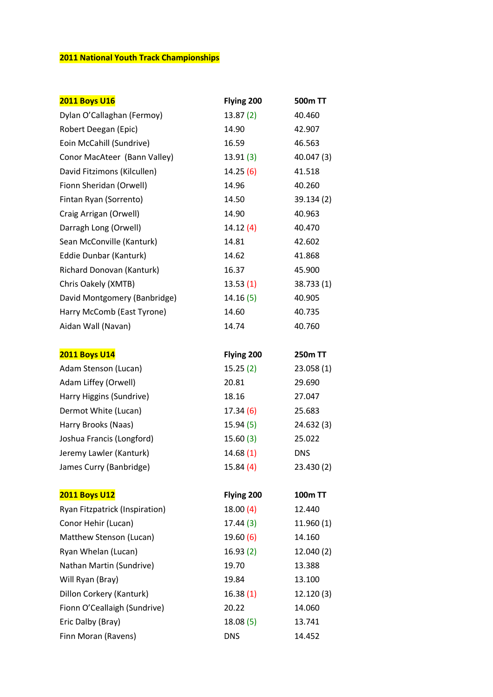| <b>2011 Boys U16</b>           | Flying 200 | 500m TT        |
|--------------------------------|------------|----------------|
| Dylan O'Callaghan (Fermoy)     | 13.87(2)   | 40.460         |
| Robert Deegan (Epic)           | 14.90      | 42.907         |
| Eoin McCahill (Sundrive)       | 16.59      | 46.563         |
| Conor MacAteer (Bann Valley)   | 13.91(3)   | 40.047 (3)     |
| David Fitzimons (Kilcullen)    | 14.25(6)   | 41.518         |
| Fionn Sheridan (Orwell)        | 14.96      | 40.260         |
| Fintan Ryan (Sorrento)         | 14.50      | 39.134 (2)     |
| Craig Arrigan (Orwell)         | 14.90      | 40.963         |
| Darragh Long (Orwell)          | 14.12(4)   | 40.470         |
| Sean McConville (Kanturk)      | 14.81      | 42.602         |
| Eddie Dunbar (Kanturk)         | 14.62      | 41.868         |
| Richard Donovan (Kanturk)      | 16.37      | 45.900         |
| Chris Oakely (XMTB)            | 13.53(1)   | 38.733(1)      |
| David Montgomery (Banbridge)   | 14.16(5)   | 40.905         |
| Harry McComb (East Tyrone)     | 14.60      | 40.735         |
| Aidan Wall (Navan)             | 14.74      | 40.760         |
|                                |            |                |
| <b>2011 Boys U14</b>           | Flying 200 | <b>250m TT</b> |
| Adam Stenson (Lucan)           | 15.25(2)   | 23.058(1)      |
| Adam Liffey (Orwell)           | 20.81      | 29.690         |
| Harry Higgins (Sundrive)       | 18.16      | 27.047         |
| Dermot White (Lucan)           | 17.34(6)   | 25.683         |
| Harry Brooks (Naas)            | 15.94 (5)  | 24.632 (3)     |
| Joshua Francis (Longford)      | 15.60(3)   | 25.022         |
| Jeremy Lawler (Kanturk)        | 14.68(1)   | <b>DNS</b>     |
| James Curry (Banbridge)        | 15.84(4)   | 23.430 (2)     |
| <b>2011 Boys U12</b>           | Flying 200 | <b>100m TT</b> |
| Ryan Fitzpatrick (Inspiration) | 18.00(4)   | 12.440         |
| Conor Hehir (Lucan)            | 17.44(3)   | 11.960(1)      |
| Matthew Stenson (Lucan)        | 19.60 (6)  | 14.160         |
| Ryan Whelan (Lucan)            | 16.93(2)   | 12.040 (2)     |
| Nathan Martin (Sundrive)       | 19.70      | 13.388         |
| Will Ryan (Bray)               | 19.84      | 13.100         |
| Dillon Corkery (Kanturk)       | 16.38(1)   | 12.120(3)      |
| Fionn O'Ceallaigh (Sundrive)   | 20.22      | 14.060         |
| Eric Dalby (Bray)              | 18.08(5)   | 13.741         |
| Finn Moran (Ravens)            | <b>DNS</b> | 14.452         |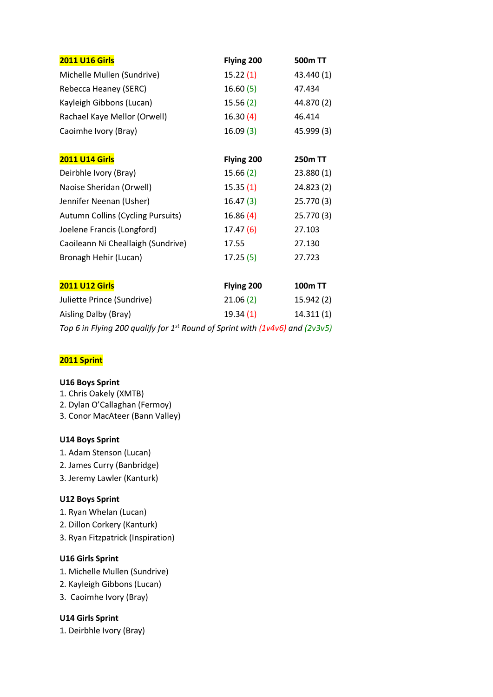| <b>2011 U16 Girls</b>                                                             | Flying 200 | <b>500m TT</b> |
|-----------------------------------------------------------------------------------|------------|----------------|
| Michelle Mullen (Sundrive)                                                        | 15.22(1)   | 43.440 (1)     |
| Rebecca Heaney (SERC)                                                             | 16.60(5)   | 47.434         |
| Kayleigh Gibbons (Lucan)                                                          | 15.56(2)   | 44.870 (2)     |
| Rachael Kaye Mellor (Orwell)                                                      | 16.30(4)   | 46.414         |
| Caoimhe Ivory (Bray)                                                              | 16.09(3)   | 45.999 (3)     |
| <b>2011 U14 Girls</b>                                                             | Flying 200 | <b>250m TT</b> |
| Deirbhle Ivory (Bray)                                                             | 15.66 (2)  | 23.880 (1)     |
| Naoise Sheridan (Orwell)                                                          | 15.35(1)   | 24.823 (2)     |
| Jennifer Neenan (Usher)                                                           | 16.47 (3)  | 25.770 (3)     |
| <b>Autumn Collins (Cycling Pursuits)</b>                                          | 16.86(4)   | 25.770 (3)     |
| Joelene Francis (Longford)                                                        | 17.47 (6)  | 27.103         |
| Caoileann Ni Cheallaigh (Sundrive)                                                | 17.55      | 27.130         |
| Bronagh Hehir (Lucan)                                                             | 17.25(5)   | 27.723         |
| <b>2011 U12 Girls</b>                                                             | Flying 200 | <b>100m TT</b> |
| Juliette Prince (Sundrive)                                                        | 21.06(2)   | 15.942 (2)     |
| Aisling Dalby (Bray)                                                              | 19.34(1)   | 14.311(1)      |
| Top 6 in Flying 200 qualify for $1^{st}$ Round of Sprint with (1v4v6) and (2v3v5) |            |                |

### **2011 Sprint**

#### **U16 Boys Sprint**

- 1. Chris Oakely (XMTB)
- 2. Dylan O'Callaghan (Fermoy)
- 3. Conor MacAteer (Bann Valley)

#### **U14 Boys Sprint**

- 1. Adam Stenson (Lucan)
- 2. James Curry (Banbridge)
- 3. Jeremy Lawler (Kanturk)

### **U12 Boys Sprint**

- 1. Ryan Whelan (Lucan)
- 2. Dillon Corkery (Kanturk)
- 3. Ryan Fitzpatrick (Inspiration)

### **U16 Girls Sprint**

- 1. Michelle Mullen (Sundrive)
- 2. Kayleigh Gibbons (Lucan)
- 3. Caoimhe Ivory (Bray)

### **U14 Girls Sprint**

1. Deirbhle Ivory (Bray)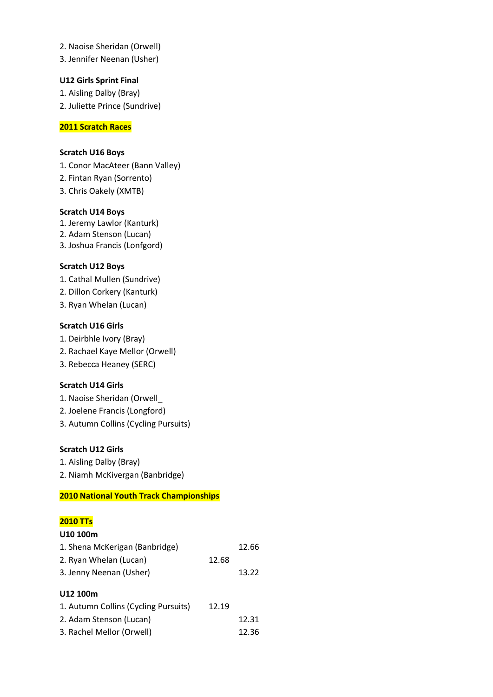- 2. Naoise Sheridan (Orwell)
- 3. Jennifer Neenan (Usher)

#### **U12 Girls Sprint Final**

1. Aisling Dalby (Bray) 2. Juliette Prince (Sundrive)

#### **2011 Scratch Races**

#### **Scratch U16 Boys**

1. Conor MacAteer (Bann Valley)

- 2. Fintan Ryan (Sorrento)
- 3. Chris Oakely (XMTB)

#### **Scratch U14 Boys**

1. Jeremy Lawlor (Kanturk)

- 2. Adam Stenson (Lucan)
- 3. Joshua Francis (Lonfgord)

#### **Scratch U12 Boys**

1. Cathal Mullen (Sundrive)

- 2. Dillon Corkery (Kanturk)
- 3. Ryan Whelan (Lucan)

#### **Scratch U16 Girls**

- 1. Deirbhle Ivory (Bray)
- 2. Rachael Kaye Mellor (Orwell)
- 3. Rebecca Heaney (SERC)

#### **Scratch U14 Girls**

- 1. Naoise Sheridan (Orwell\_
- 2. Joelene Francis (Longford)
- 3. Autumn Collins (Cycling Pursuits)

### **Scratch U12 Girls**

- 1. Aisling Dalby (Bray)
- 2. Niamh McKivergan (Banbridge)

### **2010 National Youth Track Championships**

### **2010 TTs**

#### **U10 100m**

| 1. Shena McKerigan (Banbridge)       |       | 12.66 |
|--------------------------------------|-------|-------|
| 2. Ryan Whelan (Lucan)               | 12.68 |       |
| 3. Jenny Neenan (Usher)              |       | 13.22 |
| U12 100m                             |       |       |
| 1. Autumn Collins (Cycling Pursuits) | 12.19 |       |
| 2. Adam Stenson (Lucan)              |       | 12.31 |
| 3. Rachel Mellor (Orwell)            |       | 12.36 |
|                                      |       |       |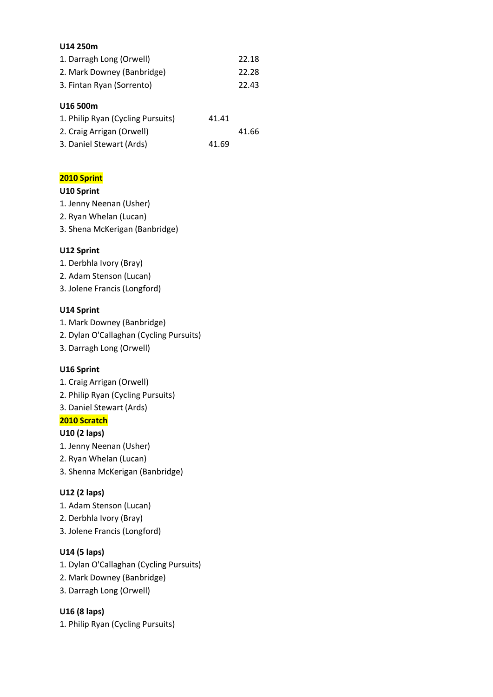#### **U14 250m**

| 1. Darragh Long (Orwell)          |       | 22.18 |
|-----------------------------------|-------|-------|
| 2. Mark Downey (Banbridge)        |       | 22.28 |
| 3. Fintan Ryan (Sorrento)         |       | 22.43 |
|                                   |       |       |
| U16 500m                          |       |       |
| 1. Philip Ryan (Cycling Pursuits) | 41.41 |       |
| 2. Craig Arrigan (Orwell)         |       | 41.66 |

| - - - -                  |  | $\cdots$ |       |
|--------------------------|--|----------|-------|
| 3. Daniel Stewart (Ards) |  |          | 41.69 |

## **2010 Sprint**

#### **U10 Sprint**

- 1. Jenny Neenan (Usher)
- 2. Ryan Whelan (Lucan)
- 3. Shena McKerigan (Banbridge)

#### **U12 Sprint**

- 1. Derbhla Ivory (Bray)
- 2. Adam Stenson (Lucan)
- 3. Jolene Francis (Longford)

#### **U14 Sprint**

- 1. Mark Downey (Banbridge)
- 2. Dylan O'Callaghan (Cycling Pursuits)
- 3. Darragh Long (Orwell)

#### **U16 Sprint**

- 1. Craig Arrigan (Orwell)
- 2. Philip Ryan (Cycling Pursuits)
- 3. Daniel Stewart (Ards)

### **2010 Scratch**

#### **U10 (2 laps)**

- 1. Jenny Neenan (Usher)
- 2. Ryan Whelan (Lucan)
- 3. Shenna McKerigan (Banbridge)

## **U12 (2 laps)**

- 1. Adam Stenson (Lucan)
- 2. Derbhla Ivory (Bray)
- 3. Jolene Francis (Longford)

### **U14 (5 laps)**

- 1. Dylan O'Callaghan (Cycling Pursuits)
- 2. Mark Downey (Banbridge)
- 3. Darragh Long (Orwell)

### **U16 (8 laps)**

1. Philip Ryan (Cycling Pursuits)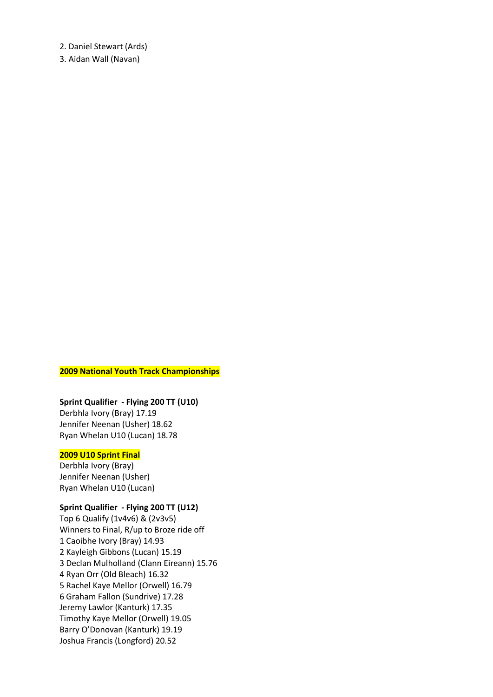2. Daniel Stewart (Ards)

3. Aidan Wall (Navan)

#### **2009 National Youth Track Championships**

#### **Sprint Qualifier - Flying 200 TT (U10)**

Derbhla Ivory (Bray) 17.19 Jennifer Neenan (Usher) 18.62 Ryan Whelan U10 (Lucan) 18.78

#### **2009 U10 Sprint Final**

Derbhla Ivory (Bray) Jennifer Neenan (Usher) Ryan Whelan U10 (Lucan)

#### **Sprint Qualifier - Flying 200 TT (U12)**

Top 6 Qualify (1v4v6) & (2v3v5) Winners to Final, R/up to Broze ride off 1 Caoibhe Ivory (Bray) 14.93 2 Kayleigh Gibbons (Lucan) 15.19 3 Declan Mulholland (Clann Eireann) 15.76 4 Ryan Orr (Old Bleach) 16.32 5 Rachel Kaye Mellor (Orwell) 16.79 6 Graham Fallon (Sundrive) 17.28 Jeremy Lawlor (Kanturk) 17.35 Timothy Kaye Mellor (Orwell) 19.05 Barry O'Donovan (Kanturk) 19.19 Joshua Francis (Longford) 20.52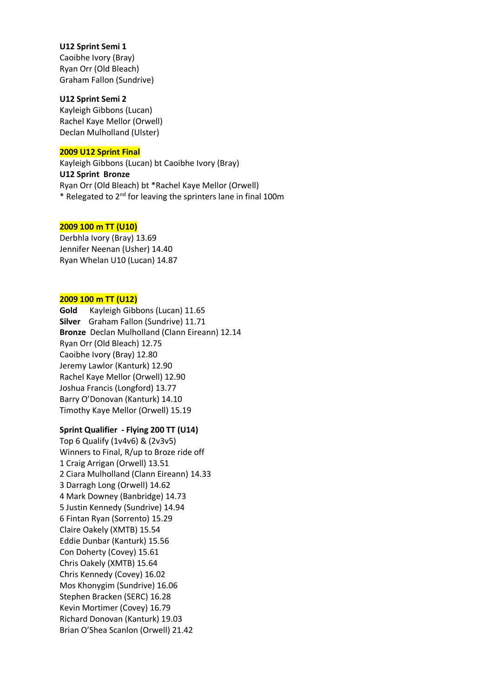#### **U12 Sprint Semi 1**

Caoibhe Ivory (Bray) Ryan Orr (Old Bleach) Graham Fallon (Sundrive)

#### **U12 Sprint Semi 2**

Kayleigh Gibbons (Lucan) Rachel Kaye Mellor (Orwell) Declan Mulholland (Ulster)

#### **2009 U12 Sprint Final**

Kayleigh Gibbons (Lucan) bt Caoibhe Ivory (Bray) **U12 Sprint Bronze**  Ryan Orr (Old Bleach) bt \*Rachel Kaye Mellor (Orwell) \* Relegated to 2nd for leaving the sprinters lane in final 100m

#### **2009 100 m TT (U10)**

Derbhla Ivory (Bray) 13.69 Jennifer Neenan (Usher) 14.40 Ryan Whelan U10 (Lucan) 14.87

#### **2009 100 m TT (U12)**

**Gold** Kayleigh Gibbons (Lucan) 11.65 **Silver** Graham Fallon (Sundrive) 11.71 **Bronze** Declan Mulholland (Clann Eireann) 12.14 Ryan Orr (Old Bleach) 12.75 Caoibhe Ivory (Bray) 12.80 Jeremy Lawlor (Kanturk) 12.90 Rachel Kaye Mellor (Orwell) 12.90 Joshua Francis (Longford) 13.77 Barry O'Donovan (Kanturk) 14.10 Timothy Kaye Mellor (Orwell) 15.19

#### **Sprint Qualifier - Flying 200 TT (U14)**

Top 6 Qualify (1v4v6) & (2v3v5) Winners to Final, R/up to Broze ride off 1 Craig Arrigan (Orwell) 13.51 2 Ciara Mulholland (Clann Eireann) 14.33 3 Darragh Long (Orwell) 14.62 4 Mark Downey (Banbridge) 14.73 5 Justin Kennedy (Sundrive) 14.94 6 Fintan Ryan (Sorrento) 15.29 Claire Oakely (XMTB) 15.54 Eddie Dunbar (Kanturk) 15.56 Con Doherty (Covey) 15.61 Chris Oakely (XMTB) 15.64 Chris Kennedy (Covey) 16.02 Mos Khonygim (Sundrive) 16.06 Stephen Bracken (SERC) 16.28 Kevin Mortimer (Covey) 16.79 Richard Donovan (Kanturk) 19.03 Brian O'Shea Scanlon (Orwell) 21.42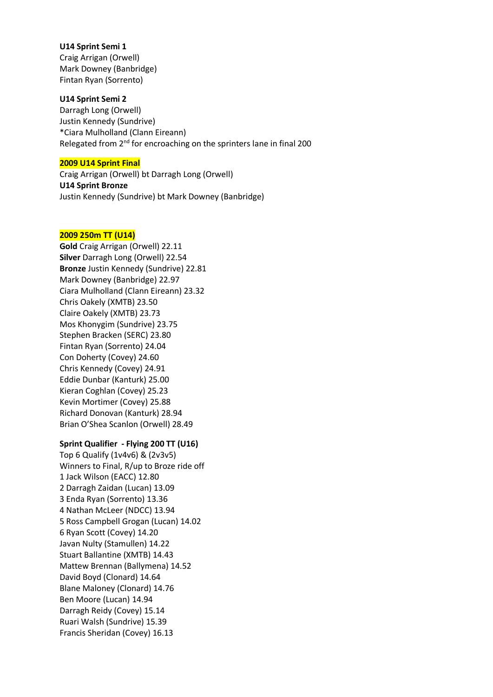#### **U14 Sprint Semi 1**

Craig Arrigan (Orwell) Mark Downey (Banbridge) Fintan Ryan (Sorrento)

#### **U14 Sprint Semi 2**

Darragh Long (Orwell) Justin Kennedy (Sundrive) \*Ciara Mulholland (Clann Eireann) Relegated from  $2<sup>nd</sup>$  for encroaching on the sprinters lane in final 200

#### **2009 U14 Sprint Final**

Craig Arrigan (Orwell) bt Darragh Long (Orwell) **U14 Sprint Bronze** Justin Kennedy (Sundrive) bt Mark Downey (Banbridge)

#### **2009 250m TT (U14)**

**Gold** Craig Arrigan (Orwell) 22.11 **Silver** Darragh Long (Orwell) 22.54 **Bronze** Justin Kennedy (Sundrive) 22.81 Mark Downey (Banbridge) 22.97 Ciara Mulholland (Clann Eireann) 23.32 Chris Oakely (XMTB) 23.50 Claire Oakely (XMTB) 23.73 Mos Khonygim (Sundrive) 23.75 Stephen Bracken (SERC) 23.80 Fintan Ryan (Sorrento) 24.04 Con Doherty (Covey) 24.60 Chris Kennedy (Covey) 24.91 Eddie Dunbar (Kanturk) 25.00 Kieran Coghlan (Covey) 25.23 Kevin Mortimer (Covey) 25.88 Richard Donovan (Kanturk) 28.94 Brian O'Shea Scanlon (Orwell) 28.49

#### **Sprint Qualifier - Flying 200 TT (U16)**

Top 6 Qualify (1v4v6) & (2v3v5) Winners to Final, R/up to Broze ride off 1 Jack Wilson (EACC) 12.80 2 Darragh Zaidan (Lucan) 13.09 3 Enda Ryan (Sorrento) 13.36 4 Nathan McLeer (NDCC) 13.94 5 Ross Campbell Grogan (Lucan) 14.02 6 Ryan Scott (Covey) 14.20 Javan Nulty (Stamullen) 14.22 Stuart Ballantine (XMTB) 14.43 Mattew Brennan (Ballymena) 14.52 David Boyd (Clonard) 14.64 Blane Maloney (Clonard) 14.76 Ben Moore (Lucan) 14.94 Darragh Reidy (Covey) 15.14 Ruari Walsh (Sundrive) 15.39 Francis Sheridan (Covey) 16.13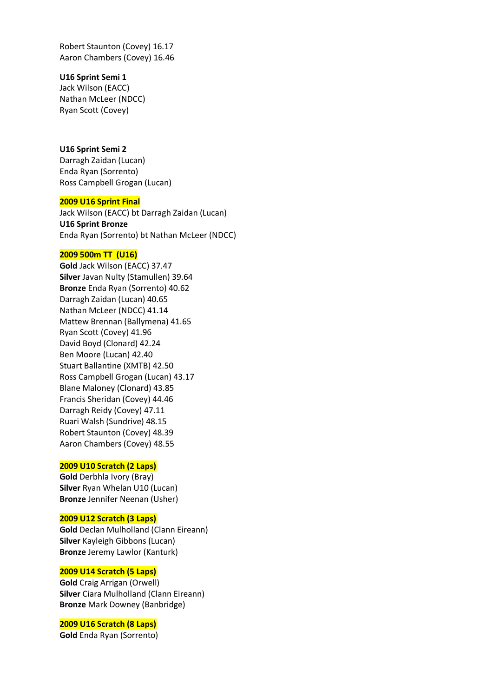Robert Staunton (Covey) 16.17 Aaron Chambers (Covey) 16.46

#### **U16 Sprint Semi 1**

Jack Wilson (EACC) Nathan McLeer (NDCC) Ryan Scott (Covey)

#### **U16 Sprint Semi 2**

Darragh Zaidan (Lucan) Enda Ryan (Sorrento) Ross Campbell Grogan (Lucan)

#### **2009 U16 Sprint Final**

Jack Wilson (EACC) bt Darragh Zaidan (Lucan) **U16 Sprint Bronze** Enda Ryan (Sorrento) bt Nathan McLeer (NDCC)

#### **2009 500m TT (U16)**

**Gold** Jack Wilson (EACC) 37.47 **Silver** Javan Nulty (Stamullen) 39.64 **Bronze** Enda Ryan (Sorrento) 40.62 Darragh Zaidan (Lucan) 40.65 Nathan McLeer (NDCC) 41.14 Mattew Brennan (Ballymena) 41.65 Ryan Scott (Covey) 41.96 David Boyd (Clonard) 42.24 Ben Moore (Lucan) 42.40 Stuart Ballantine (XMTB) 42.50 Ross Campbell Grogan (Lucan) 43.17 Blane Maloney (Clonard) 43.85 Francis Sheridan (Covey) 44.46 Darragh Reidy (Covey) 47.11 Ruari Walsh (Sundrive) 48.15 Robert Staunton (Covey) 48.39 Aaron Chambers (Covey) 48.55

#### **2009 U10 Scratch (2 Laps)**

**Gold** Derbhla Ivory (Bray) **Silver** Ryan Whelan U10 (Lucan) **Bronze** Jennifer Neenan (Usher)

#### **2009 U12 Scratch (3 Laps)**

**Gold** Declan Mulholland (Clann Eireann) **Silver** Kayleigh Gibbons (Lucan) **Bronze** Jeremy Lawlor (Kanturk)

#### **2009 U14 Scratch (5 Laps)**

**Gold** Craig Arrigan (Orwell) **Silver** Ciara Mulholland (Clann Eireann) **Bronze** Mark Downey (Banbridge)

#### **2009 U16 Scratch (8 Laps)**

**Gold** Enda Ryan (Sorrento)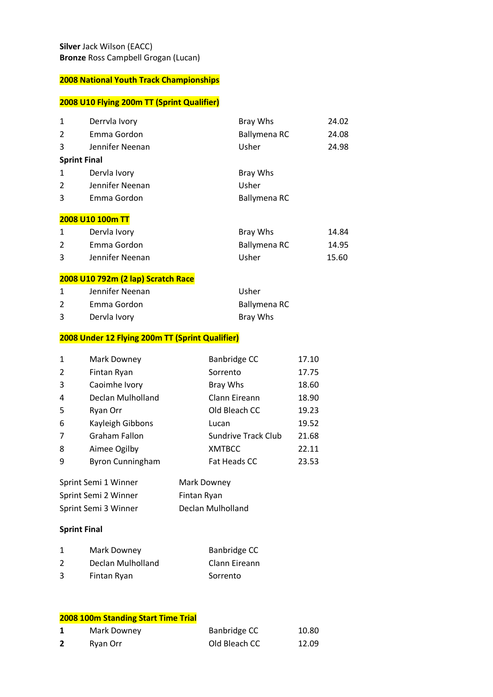## **2008 U10 Flying 200m TT (Sprint Qualifier)**

| 1                   | Derryla Ivory   | Bray Whs     | 24.02 |
|---------------------|-----------------|--------------|-------|
| 2                   | Emma Gordon     | Ballymena RC | 24.08 |
| 3                   | Jennifer Neenan | Usher        | 24.98 |
| <b>Sprint Final</b> |                 |              |       |
| 1                   | Dervla Ivory    | Bray Whs     |       |
| $\overline{2}$      | Jennifer Neenan | Usher        |       |
| 3                   | Emma Gordon     | Ballymena RC |       |

#### **2008 U10 100m TT**

|   | Dervla Ivory    | Bray Whs     | 14.84 |
|---|-----------------|--------------|-------|
|   | Emma Gordon     | Ballymena RC | 14.95 |
| 3 | Jennifer Neenan | Usher        | 15.60 |

### **2008 U10 792m (2 lap) Scratch Race**

|   | Jennifer Neenan | Usher        |
|---|-----------------|--------------|
|   | Emma Gordon     | Ballymena RC |
| 3 | Dervla Ivory    | Bray Whs     |

#### **2008 Under 12 Flying 200m TT (Sprint Qualifier)**

| 1              | Mark Downey             | Banbridge CC               | 17.10 |
|----------------|-------------------------|----------------------------|-------|
| 2              | Fintan Ryan             | Sorrento                   | 17.75 |
| 3              | Caoimhe Ivory           | Bray Whs                   | 18.60 |
| 4              | Declan Mulholland       | Clann Eireann              | 18.90 |
| 5              | Ryan Orr                | Old Bleach CC              | 19.23 |
| 6              | Kayleigh Gibbons        | Lucan                      | 19.52 |
| $\overline{7}$ | <b>Graham Fallon</b>    | <b>Sundrive Track Club</b> | 21.68 |
| 8              | Aimee Ogilby            | <b>XMTBCC</b>              | 22.11 |
| 9              | <b>Byron Cunningham</b> | Fat Heads CC               | 23.53 |

| Sprint Semi 1 Winner | Mark Downey       |
|----------------------|-------------------|
| Sprint Semi 2 Winner | Fintan Ryan       |
| Sprint Semi 3 Winner | Declan Mulholland |

#### **Sprint Final**

|               | Mark Downey       | Banbridge CC  |
|---------------|-------------------|---------------|
| $\mathcal{P}$ | Declan Mulholland | Clann Eireann |
| 3             | Fintan Ryan       | Sorrento      |

#### **2008 100m Standing Start Time Trial**

| Mark Downey | Banbridge CC  | 10.80 |
|-------------|---------------|-------|
| Ryan Orr    | Old Bleach CC | 12.09 |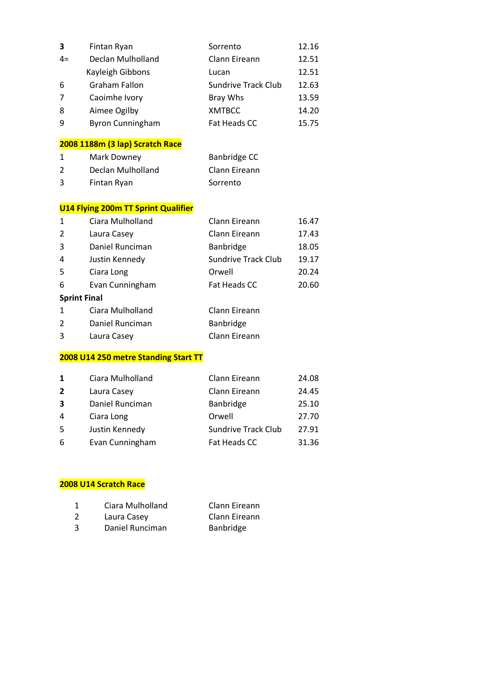| 3              | Fintan Ryan                                | Sorrento                   | 12.16 |
|----------------|--------------------------------------------|----------------------------|-------|
| $4=$           | Declan Mulholland                          | Clann Eireann              | 12.51 |
|                | Kayleigh Gibbons                           | Lucan                      | 12.51 |
| 6              | <b>Graham Fallon</b>                       | <b>Sundrive Track Club</b> | 12.63 |
| 7              | Caoimhe Ivory                              | Bray Whs                   | 13.59 |
| 8              | Aimee Ogilby                               | <b>XMTBCC</b>              | 14.20 |
| 9              | <b>Byron Cunningham</b>                    | <b>Fat Heads CC</b>        | 15.75 |
|                | 2008 1188m (3 lap) Scratch Race            |                            |       |
| 1              | Mark Downey                                | Banbridge CC               |       |
| $\overline{2}$ | Declan Mulholland                          | Clann Eireann              |       |
| 3              | Fintan Ryan                                | Sorrento                   |       |
|                | <b>U14 Flying 200m TT Sprint Qualifier</b> |                            |       |
| 1              | Ciara Mulholland                           | Clann Eireann              | 16.47 |
| $\overline{2}$ | Laura Casey                                | Clann Eireann              | 17.43 |
| 3              | Daniel Runciman                            | Banbridge                  | 18.05 |
| 4              | Justin Kennedy                             | <b>Sundrive Track Club</b> | 19.17 |
| 5              | Ciara Long                                 | Orwell                     | 20.24 |
| 6              | Evan Cunningham                            | <b>Fat Heads CC</b>        | 20.60 |
|                | <b>Sprint Final</b>                        |                            |       |
| 1              | Ciara Mulholland                           | Clann Eireann              |       |
| 2              | Daniel Runciman                            | Banbridge                  |       |
| 3              | Laura Casey                                | Clann Eireann              |       |
|                |                                            |                            |       |

#### **2008 U14 250 metre Standing Start TT**

| 1              | Ciara Mulholland | Clann Eireann              | 24.08 |
|----------------|------------------|----------------------------|-------|
| $\overline{2}$ | Laura Casey      | Clann Eireann              | 24.45 |
| 3              | Daniel Runciman  | Banbridge                  | 25.10 |
| 4              | Ciara Long       | Orwell                     | 27.70 |
| 5              | Justin Kennedy   | <b>Sundrive Track Club</b> | 27.91 |
| 6              | Evan Cunningham  | Fat Heads CC               | 31.36 |

### **2008 U14 Scratch Race**

|    | Ciara Mulholland | Clann Eireann |
|----|------------------|---------------|
| -2 | Laura Casey      | Clann Eireann |
| -3 | Daniel Runciman  | Banbridge     |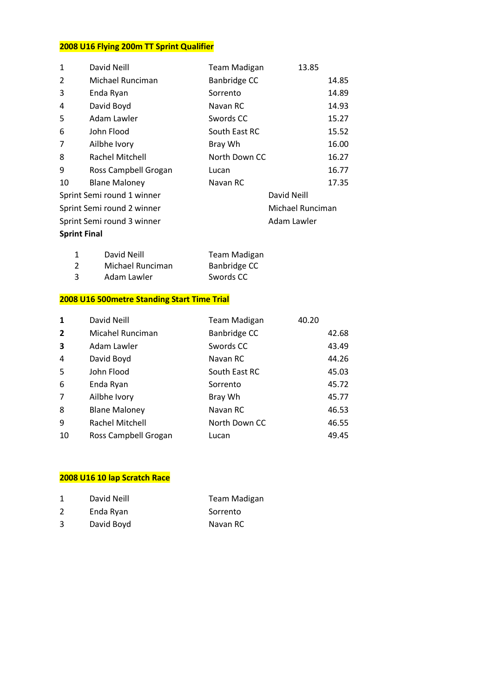## **2008 U16 Flying 200m TT Sprint Qualifier**

| 1                          | David Neill                | <b>Team Madigan</b> | 13.85            |       |
|----------------------------|----------------------------|---------------------|------------------|-------|
| $\mathcal{P}$              | Michael Runciman           | Banbridge CC        |                  | 14.85 |
| 3                          | Enda Ryan                  | Sorrento            |                  | 14.89 |
| 4                          | David Boyd                 | Navan RC            |                  | 14.93 |
| 5                          | Adam Lawler                | Swords CC           |                  | 15.27 |
| 6                          | John Flood                 | South East RC       |                  | 15.52 |
| 7                          | Ailbhe Ivory               | Bray Wh             |                  | 16.00 |
| 8                          | Rachel Mitchell            | North Down CC       |                  | 16.27 |
| 9                          | Ross Campbell Grogan       | Lucan               |                  | 16.77 |
| 10                         | <b>Blane Maloney</b>       | Navan RC            |                  | 17.35 |
|                            | Sprint Semi round 1 winner |                     | David Neill      |       |
|                            | Sprint Semi round 2 winner |                     | Michael Runciman |       |
| Sprint Semi round 3 winner |                            | Adam Lawler         |                  |       |
| <b>Sprint Final</b>        |                            |                     |                  |       |

|    | David Neill      | <b>Team Madigan</b> |
|----|------------------|---------------------|
| -2 | Michael Runciman | Banbridge CC        |
| -3 | Adam Lawler      | Swords CC           |

## **2008 U16 500metre Standing Start Time Trial**

| 1                       | David Neill          | <b>Team Madigan</b> | 40.20 |
|-------------------------|----------------------|---------------------|-------|
| $\overline{2}$          | Micahel Runciman     | Banbridge CC        | 42.68 |
| $\overline{\mathbf{3}}$ | Adam Lawler          | Swords CC           | 43.49 |
| 4                       | David Boyd           | Navan RC            | 44.26 |
| 5                       | John Flood           | South East RC       | 45.03 |
| 6                       | Enda Ryan            | Sorrento            | 45.72 |
| $\overline{7}$          | Ailbhe Ivory         | Bray Wh             | 45.77 |
| 8                       | <b>Blane Maloney</b> | Navan RC            | 46.53 |
| 9                       | Rachel Mitchell      | North Down CC       | 46.55 |
| 10                      | Ross Campbell Grogan | Lucan               | 49.45 |

## **2008 U16 10 lap Scratch Race**

|   | David Neill | Team Madigan |
|---|-------------|--------------|
| 2 | Enda Ryan   | Sorrento     |
| 3 | David Boyd  | Navan RC     |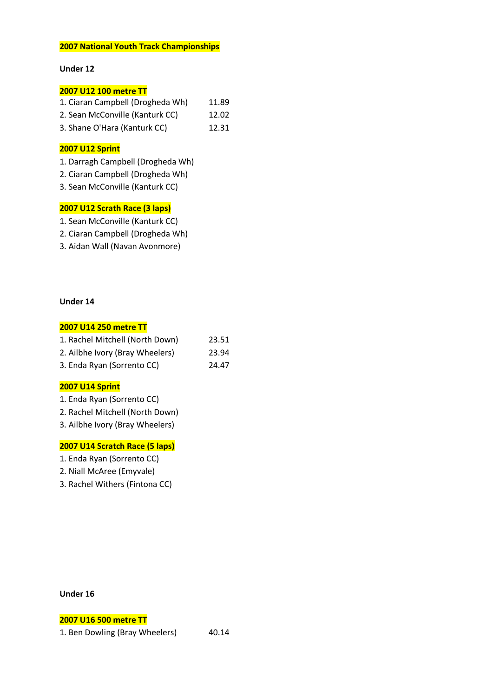#### **Under 12**

#### **2007 U12 100 metre TT**

| 1. Ciaran Campbell (Drogheda Wh) | 11.89 |
|----------------------------------|-------|
| 2. Sean McConville (Kanturk CC)  | 12.02 |

3. Shane O'Hara (Kanturk CC) 12.31

#### **2007 U12 Sprint**

- 1. Darragh Campbell (Drogheda Wh)
- 2. Ciaran Campbell (Drogheda Wh)
- 3. Sean McConville (Kanturk CC)

#### **2007 U12 Scrath Race (3 laps)**

- 1. Sean McConville (Kanturk CC)
- 2. Ciaran Campbell (Drogheda Wh)
- 3. Aidan Wall (Navan Avonmore)

#### **Under 14**

#### **2007 U14 250 metre TT**

| 1. Rachel Mitchell (North Down) | 23.51 |
|---------------------------------|-------|
| 2. Ailbhe Ivory (Bray Wheelers) | 23.94 |
| 3. Enda Ryan (Sorrento CC)      | 24.47 |

#### **2007 U14 Sprint**

- 1. Enda Ryan (Sorrento CC)
- 2. Rachel Mitchell (North Down)
- 3. Ailbhe Ivory (Bray Wheelers)

#### **2007 U14 Scratch Race (5 laps)**

- 1. Enda Ryan (Sorrento CC)
- 2. Niall McAree (Emyvale)
- 3. Rachel Withers (Fintona CC)

#### **Under 16**

#### **2007 U16 500 metre TT**

1. Ben Dowling (Bray Wheelers) 40.14